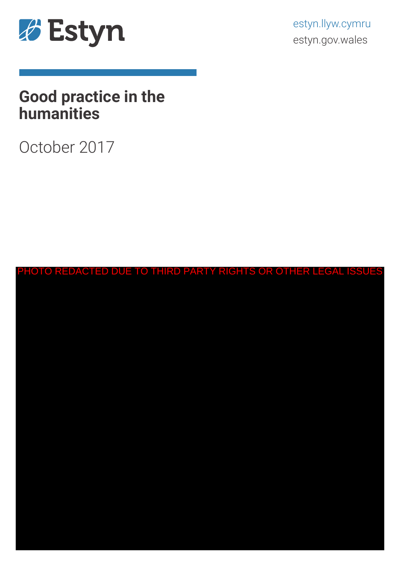

estyn.llyw.cymru estyn.gov.wales

# **Good practice in the humanities**

October 2017

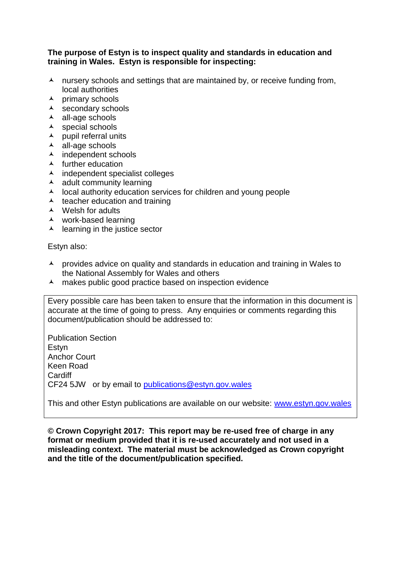#### **The purpose of Estyn is to inspect quality and standards in education and training in Wales. Estyn is responsible for inspecting:**

- $\lambda$  nursery schools and settings that are maintained by, or receive funding from, local authorities
- $\lambda$  primary schools
- $\lambda$  secondary schools
- $\lambda$  all-age schools
- $\lambda$  special schools
- $\lambda$  pupil referral units
- $\blacktriangle$  all-age schools
- $\overline{\phantom{a}}$  independent schools
- $\blacktriangle$  further education
- independent specialist colleges
- $\lambda$  adult community learning
- $\lambda$  local authority education services for children and young people
- $\lambda$  teacher education and training
- $\triangle$  Welsh for adults
- work-based learning
- $\lambda$  learning in the justice sector

Estyn also:

- $\lambda$  provides advice on quality and standards in education and training in Wales to the National Assembly for Wales and others
- A makes public good practice based on inspection evidence

Every possible care has been taken to ensure that the information in this document is accurate at the time of going to press. Any enquiries or comments regarding this document/publication should be addressed to:

Publication Section Estyn Anchor Court Keen Road **Cardiff** CF24 5JW or by email to [publications@estyn.gov.wales](mailto:publications@estyn.gov.wales)

This and other Estyn publications are available on our website: [www.estyn.gov.wales](http://www.estyn.gov.wales/)

**© Crown Copyright 2017: This report may be re-used free of charge in any format or medium provided that it is re-used accurately and not used in a misleading context. The material must be acknowledged as Crown copyright and the title of the document/publication specified.**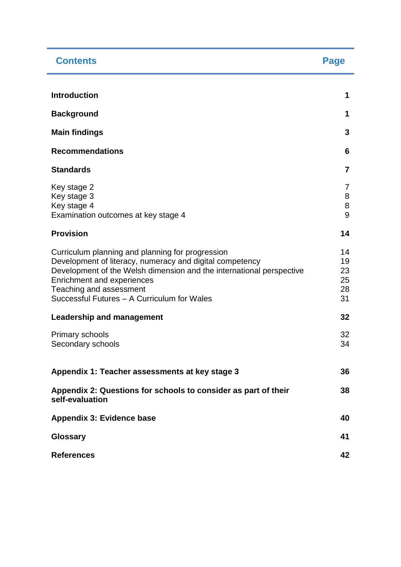| <b>Contents</b>                                                                                                                                                                                                                                                                              | Page                             |
|----------------------------------------------------------------------------------------------------------------------------------------------------------------------------------------------------------------------------------------------------------------------------------------------|----------------------------------|
|                                                                                                                                                                                                                                                                                              |                                  |
| <b>Introduction</b>                                                                                                                                                                                                                                                                          | 1                                |
| <b>Background</b>                                                                                                                                                                                                                                                                            | 1                                |
| <b>Main findings</b>                                                                                                                                                                                                                                                                         | 3                                |
| <b>Recommendations</b>                                                                                                                                                                                                                                                                       | 6                                |
| <b>Standards</b>                                                                                                                                                                                                                                                                             | $\overline{7}$                   |
| Key stage 2<br>Key stage 3<br>Key stage 4<br>Examination outcomes at key stage 4                                                                                                                                                                                                             | $\overline{7}$<br>8<br>8<br>9    |
| <b>Provision</b>                                                                                                                                                                                                                                                                             | 14                               |
| Curriculum planning and planning for progression<br>Development of literacy, numeracy and digital competency<br>Development of the Welsh dimension and the international perspective<br>Enrichment and experiences<br>Teaching and assessment<br>Successful Futures - A Curriculum for Wales | 14<br>19<br>23<br>25<br>28<br>31 |
| <b>Leadership and management</b>                                                                                                                                                                                                                                                             | 32                               |
| Primary schools<br>Secondary schools                                                                                                                                                                                                                                                         | 32<br>34                         |
| Appendix 1: Teacher assessments at key stage 3                                                                                                                                                                                                                                               | 36                               |
| Appendix 2: Questions for schools to consider as part of their<br>self-evaluation                                                                                                                                                                                                            | 38                               |
| <b>Appendix 3: Evidence base</b>                                                                                                                                                                                                                                                             | 40                               |
| <b>Glossary</b>                                                                                                                                                                                                                                                                              | 41                               |
| <b>References</b>                                                                                                                                                                                                                                                                            | 42                               |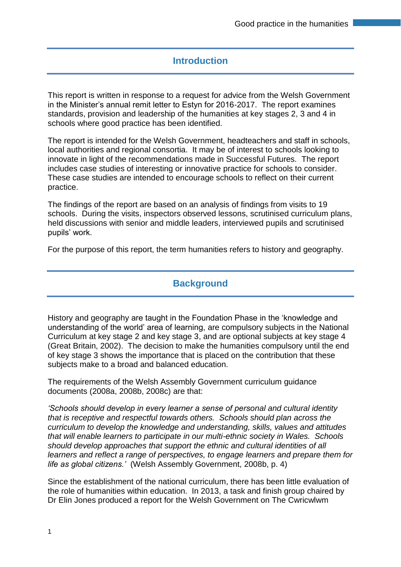## **Introduction**

This report is written in response to a request for advice from the Welsh Government in the Minister's annual remit letter to Estyn for 2016-2017. The report examines standards, provision and leadership of the humanities at key stages 2, 3 and 4 in schools where good practice has been identified.

The report is intended for the Welsh Government, headteachers and staff in schools, local authorities and regional consortia. It may be of interest to schools looking to innovate in light of the recommendations made in Successful Futures. The report includes case studies of interesting or innovative practice for schools to consider. These case studies are intended to encourage schools to reflect on their current practice.

The findings of the report are based on an analysis of findings from visits to 19 schools. During the visits, inspectors observed lessons, scrutinised curriculum plans, held discussions with senior and middle leaders, interviewed pupils and scrutinised pupils' work.

For the purpose of this report, the term humanities refers to history and geography.

### **Background**

History and geography are taught in the Foundation Phase in the 'knowledge and understanding of the world' area of learning, are compulsory subjects in the National Curriculum at key stage 2 and key stage 3, and are optional subjects at key stage 4 (Great Britain, 2002). The decision to make the humanities compulsory until the end of key stage 3 shows the importance that is placed on the contribution that these subjects make to a broad and balanced education.

The requirements of the Welsh Assembly Government curriculum guidance documents (2008a, 2008b, 2008c) are that:

*'Schools should develop in every learner a sense of personal and cultural identity that is receptive and respectful towards others. Schools should plan across the curriculum to develop the knowledge and understanding, skills, values and attitudes that will enable learners to participate in our multi-ethnic society in Wales. Schools should develop approaches that support the ethnic and cultural identities of all learners and reflect a range of perspectives, to engage learners and prepare them for life as global citizens.'* (Welsh Assembly Government, 2008b, p. 4)

Since the establishment of the national curriculum, there has been little evaluation of the role of humanities within education. In 2013, a task and finish group chaired by Dr Elin Jones produced a report for the Welsh Government on The Cwricwlwm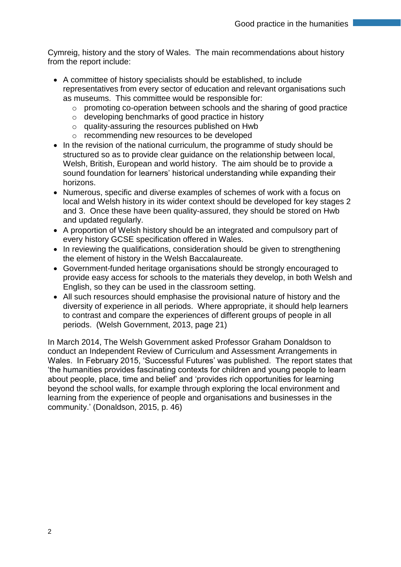Cymreig, history and the story of Wales. The main recommendations about history from the report include:

- A committee of history specialists should be established, to include representatives from every sector of education and relevant organisations such as museums. This committee would be responsible for:
	- o promoting co-operation between schools and the sharing of good practice
	- o developing benchmarks of good practice in history
	- o quality-assuring the resources published on Hwb
	- o recommending new resources to be developed
- In the revision of the national curriculum, the programme of study should be structured so as to provide clear guidance on the relationship between local, Welsh, British, European and world history. The aim should be to provide a sound foundation for learners' historical understanding while expanding their horizons.
- Numerous, specific and diverse examples of schemes of work with a focus on local and Welsh history in its wider context should be developed for key stages 2 and 3. Once these have been quality-assured, they should be stored on Hwb and updated regularly.
- A proportion of Welsh history should be an integrated and compulsory part of every history GCSE specification offered in Wales.
- In reviewing the qualifications, consideration should be given to strengthening the element of history in the Welsh Baccalaureate.
- Government-funded heritage organisations should be strongly encouraged to provide easy access for schools to the materials they develop, in both Welsh and English, so they can be used in the classroom setting.
- All such resources should emphasise the provisional nature of history and the diversity of experience in all periods. Where appropriate, it should help learners to contrast and compare the experiences of different groups of people in all periods. (Welsh Government, 2013, page 21)

In March 2014, The Welsh Government asked Professor Graham Donaldson to conduct an Independent Review of Curriculum and Assessment Arrangements in Wales. In February 2015, 'Successful Futures' was published. The report states that 'the humanities provides fascinating contexts for children and young people to learn about people, place, time and belief' and 'provides rich opportunities for learning beyond the school walls, for example through exploring the local environment and learning from the experience of people and organisations and businesses in the community.' (Donaldson, 2015, p. 46)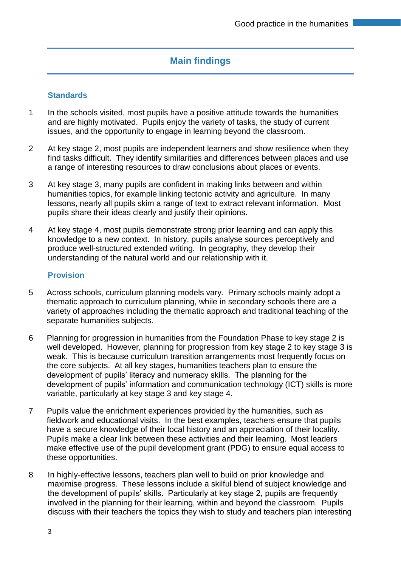## **Main findings**

#### **Standards**

- 1 In the schools visited, most pupils have a positive attitude towards the humanities and are highly motivated. Pupils enjoy the variety of tasks, the study of current issues, and the opportunity to engage in learning beyond the classroom.
- 2 At key stage 2, most pupils are independent learners and show resilience when they find tasks difficult. They identify similarities and differences between places and use a range of interesting resources to draw conclusions about places or events.
- 3 At key stage 3, many pupils are confident in making links between and within humanities topics, for example linking tectonic activity and agriculture. In many lessons, nearly all pupils skim a range of text to extract relevant information. Most pupils share their ideas clearly and justify their opinions.
- 4 At key stage 4, most pupils demonstrate strong prior learning and can apply this knowledge to a new context. In history, pupils analyse sources perceptively and produce well-structured extended writing. In geography, they develop their understanding of the natural world and our relationship with it.

#### **Provision**

- 5 Across schools, curriculum planning models vary. Primary schools mainly adopt a thematic approach to curriculum planning, while in secondary schools there are a variety of approaches including the thematic approach and traditional teaching of the separate humanities subjects.
- 6 Planning for progression in humanities from the Foundation Phase to key stage 2 is well developed. However, planning for progression from key stage 2 to key stage 3 is weak. This is because curriculum transition arrangements most frequently focus on the core subjects. At all key stages, humanities teachers plan to ensure the development of pupils' literacy and numeracy skills. The planning for the development of pupils' information and communication technology (ICT) skills is more variable, particularly at key stage 3 and key stage 4.
- 7 Pupils value the enrichment experiences provided by the humanities, such as fieldwork and educational visits. In the best examples, teachers ensure that pupils have a secure knowledge of their local history and an appreciation of their locality. Pupils make a clear link between these activities and their learning. Most leaders make effective use of the pupil development grant (PDG) to ensure equal access to these opportunities.
- 8 In highly-effective lessons, teachers plan well to build on prior knowledge and maximise progress. These lessons include a skilful blend of subject knowledge and the development of pupils' skills. Particularly at key stage 2, pupils are frequently involved in the planning for their learning, within and beyond the classroom. Pupils discuss with their teachers the topics they wish to study and teachers plan interesting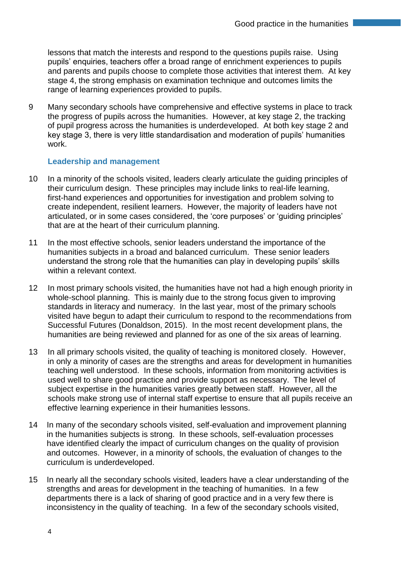lessons that match the interests and respond to the questions pupils raise. Using pupils' enquiries, teachers offer a broad range of enrichment experiences to pupils and parents and pupils choose to complete those activities that interest them. At key stage 4, the strong emphasis on examination technique and outcomes limits the range of learning experiences provided to pupils.

9 Many secondary schools have comprehensive and effective systems in place to track the progress of pupils across the humanities. However, at key stage 2, the tracking of pupil progress across the humanities is underdeveloped. At both key stage 2 and key stage 3, there is very little standardisation and moderation of pupils' humanities work.

#### **Leadership and management**

- 10 In a minority of the schools visited, leaders clearly articulate the quiding principles of their curriculum design. These principles may include links to real-life learning, first-hand experiences and opportunities for investigation and problem solving to create independent, resilient learners. However, the majority of leaders have not articulated, or in some cases considered, the 'core purposes' or 'guiding principles' that are at the heart of their curriculum planning.
- 11 In the most effective schools, senior leaders understand the importance of the humanities subjects in a broad and balanced curriculum. These senior leaders understand the strong role that the humanities can play in developing pupils' skills within a relevant context.
- 12 In most primary schools visited, the humanities have not had a high enough priority in whole-school planning. This is mainly due to the strong focus given to improving standards in literacy and numeracy. In the last year, most of the primary schools visited have begun to adapt their curriculum to respond to the recommendations from Successful Futures (Donaldson, 2015). In the most recent development plans, the humanities are being reviewed and planned for as one of the six areas of learning.
- 13 In all primary schools visited, the quality of teaching is monitored closely. However, in only a minority of cases are the strengths and areas for development in humanities teaching well understood. In these schools, information from monitoring activities is used well to share good practice and provide support as necessary. The level of subject expertise in the humanities varies greatly between staff. However, all the schools make strong use of internal staff expertise to ensure that all pupils receive an effective learning experience in their humanities lessons.
- 14 In many of the secondary schools visited, self-evaluation and improvement planning in the humanities subjects is strong. In these schools, self-evaluation processes have identified clearly the impact of curriculum changes on the quality of provision and outcomes. However, in a minority of schools, the evaluation of changes to the curriculum is underdeveloped.
- 15 In nearly all the secondary schools visited, leaders have a clear understanding of the strengths and areas for development in the teaching of humanities. In a few departments there is a lack of sharing of good practice and in a very few there is inconsistency in the quality of teaching. In a few of the secondary schools visited,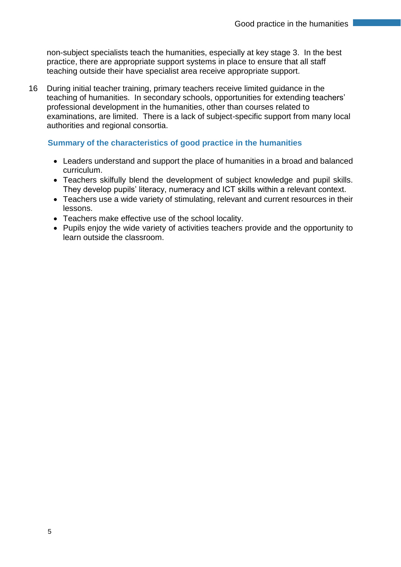non-subject specialists teach the humanities, especially at key stage 3. In the best practice, there are appropriate support systems in place to ensure that all staff teaching outside their have specialist area receive appropriate support.

16 During initial teacher training, primary teachers receive limited guidance in the teaching of humanities. In secondary schools, opportunities for extending teachers' professional development in the humanities, other than courses related to examinations, are limited. There is a lack of subject-specific support from many local authorities and regional consortia.

#### **Summary of the characteristics of good practice in the humanities**

- Leaders understand and support the place of humanities in a broad and balanced curriculum.
- Teachers skilfully blend the development of subject knowledge and pupil skills. They develop pupils' literacy, numeracy and ICT skills within a relevant context.
- Teachers use a wide variety of stimulating, relevant and current resources in their lessons.
- Teachers make effective use of the school locality.
- Pupils enjoy the wide variety of activities teachers provide and the opportunity to learn outside the classroom.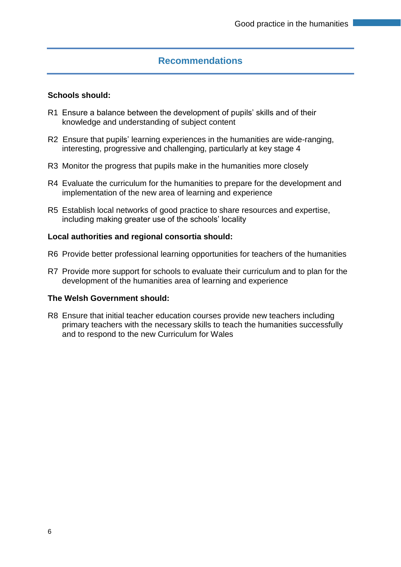### **Recommendations**

#### **Schools should:**

- R1 Ensure a balance between the development of pupils' skills and of their knowledge and understanding of subject content
- R2 Ensure that pupils' learning experiences in the humanities are wide-ranging, interesting, progressive and challenging, particularly at key stage 4
- R3 Monitor the progress that pupils make in the humanities more closely
- R4 Evaluate the curriculum for the humanities to prepare for the development and implementation of the new area of learning and experience
- R5 Establish local networks of good practice to share resources and expertise, including making greater use of the schools' locality

#### **Local authorities and regional consortia should:**

- R6 Provide better professional learning opportunities for teachers of the humanities
- R7 Provide more support for schools to evaluate their curriculum and to plan for the development of the humanities area of learning and experience

#### **The Welsh Government should:**

R8 Ensure that initial teacher education courses provide new teachers including primary teachers with the necessary skills to teach the humanities successfully and to respond to the new Curriculum for Wales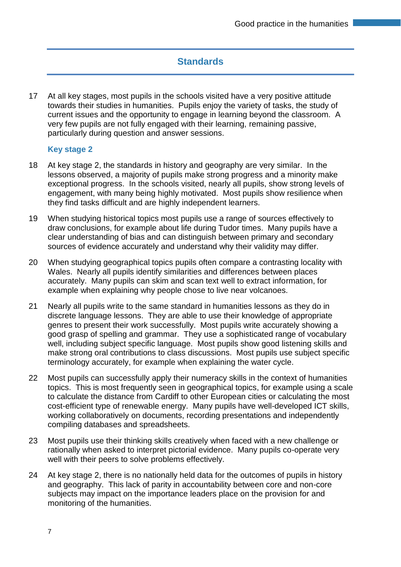## **Standards**

17 At all key stages, most pupils in the schools visited have a very positive attitude towards their studies in humanities. Pupils enjoy the variety of tasks, the study of current issues and the opportunity to engage in learning beyond the classroom. A very few pupils are not fully engaged with their learning, remaining passive, particularly during question and answer sessions.

#### **Key stage 2**

- 18 At key stage 2, the standards in history and geography are very similar. In the lessons observed, a majority of pupils make strong progress and a minority make exceptional progress. In the schools visited, nearly all pupils, show strong levels of engagement, with many being highly motivated. Most pupils show resilience when they find tasks difficult and are highly independent learners.
- 19 When studying historical topics most pupils use a range of sources effectively to draw conclusions, for example about life during Tudor times. Many pupils have a clear understanding of bias and can distinguish between primary and secondary sources of evidence accurately and understand why their validity may differ.
- 20 When studying geographical topics pupils often compare a contrasting locality with Wales. Nearly all pupils identify similarities and differences between places accurately. Many pupils can skim and scan text well to extract information, for example when explaining why people chose to live near volcanoes.
- 21 Nearly all pupils write to the same standard in humanities lessons as they do in discrete language lessons. They are able to use their knowledge of appropriate genres to present their work successfully. Most pupils write accurately showing a good grasp of spelling and grammar. They use a sophisticated range of vocabulary well, including subject specific language. Most pupils show good listening skills and make strong oral contributions to class discussions. Most pupils use subject specific terminology accurately, for example when explaining the water cycle.
- 22 Most pupils can successfully apply their numeracy skills in the context of humanities topics. This is most frequently seen in geographical topics, for example using a scale to calculate the distance from Cardiff to other European cities or calculating the most cost-efficient type of renewable energy. Many pupils have well-developed ICT skills, working collaboratively on documents, recording presentations and independently compiling databases and spreadsheets.
- 23 Most pupils use their thinking skills creatively when faced with a new challenge or rationally when asked to interpret pictorial evidence. Many pupils co-operate very well with their peers to solve problems effectively.
- 24 At key stage 2, there is no nationally held data for the outcomes of pupils in history and geography. This lack of parity in accountability between core and non-core subjects may impact on the importance leaders place on the provision for and monitoring of the humanities.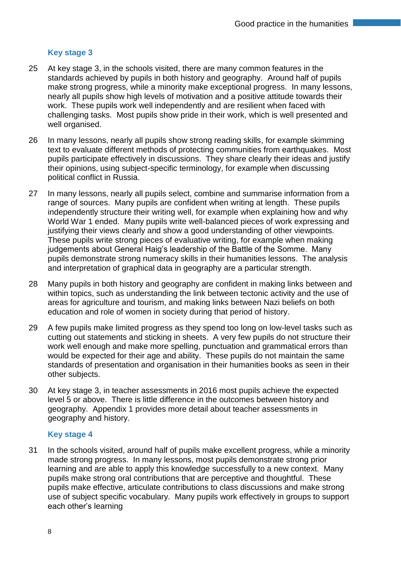#### **Key stage 3**

- 25 At key stage 3, in the schools visited, there are many common features in the standards achieved by pupils in both history and geography. Around half of pupils make strong progress, while a minority make exceptional progress. In many lessons, nearly all pupils show high levels of motivation and a positive attitude towards their work. These pupils work well independently and are resilient when faced with challenging tasks. Most pupils show pride in their work, which is well presented and well organised.
- 26 In many lessons, nearly all pupils show strong reading skills, for example skimming text to evaluate different methods of protecting communities from earthquakes. Most pupils participate effectively in discussions. They share clearly their ideas and justify their opinions, using subject-specific terminology, for example when discussing political conflict in Russia.
- 27 In many lessons, nearly all pupils select, combine and summarise information from a range of sources. Many pupils are confident when writing at length. These pupils independently structure their writing well, for example when explaining how and why World War 1 ended. Many pupils write well-balanced pieces of work expressing and justifying their views clearly and show a good understanding of other viewpoints. These pupils write strong pieces of evaluative writing, for example when making judgements about General Haig's leadership of the Battle of the Somme. Many pupils demonstrate strong numeracy skills in their humanities lessons. The analysis and interpretation of graphical data in geography are a particular strength.
- 28 Many pupils in both history and geography are confident in making links between and within topics, such as understanding the link between tectonic activity and the use of areas for agriculture and tourism, and making links between Nazi beliefs on both education and role of women in society during that period of history.
- 29 A few pupils make limited progress as they spend too long on low-level tasks such as cutting out statements and sticking in sheets. A very few pupils do not structure their work well enough and make more spelling, punctuation and grammatical errors than would be expected for their age and ability. These pupils do not maintain the same standards of presentation and organisation in their humanities books as seen in their other subjects.
- 30 At key stage 3, in teacher assessments in 2016 most pupils achieve the expected level 5 or above. There is little difference in the outcomes between history and geography. Appendix 1 provides more detail about teacher assessments in geography and history.

#### **Key stage 4**

31 In the schools visited, around half of pupils make excellent progress, while a minority made strong progress. In many lessons, most pupils demonstrate strong prior learning and are able to apply this knowledge successfully to a new context. Many pupils make strong oral contributions that are perceptive and thoughtful. These pupils make effective, articulate contributions to class discussions and make strong use of subject specific vocabulary. Many pupils work effectively in groups to support each other's learning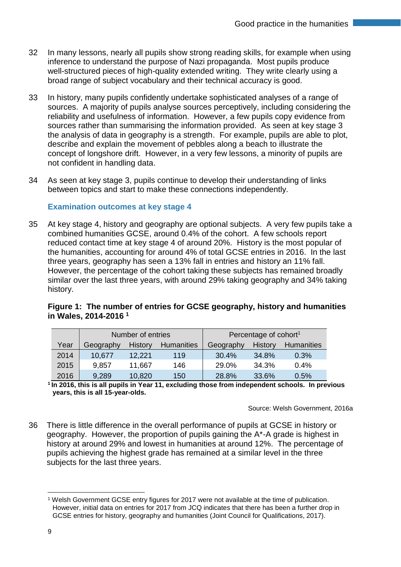- 32 In many lessons, nearly all pupils show strong reading skills, for example when using inference to understand the purpose of Nazi propaganda. Most pupils produce well-structured pieces of high-quality extended writing. They write clearly using a broad range of subject vocabulary and their technical accuracy is good.
- 33 In history, many pupils confidently undertake sophisticated analyses of a range of sources. A majority of pupils analyse sources perceptively, including considering the reliability and usefulness of information. However, a few pupils copy evidence from sources rather than summarising the information provided. As seen at key stage 3 the analysis of data in geography is a strength. For example, pupils are able to plot, describe and explain the movement of pebbles along a beach to illustrate the concept of longshore drift. However, in a very few lessons, a minority of pupils are not confident in handling data.
- 34 As seen at key stage 3, pupils continue to develop their understanding of links between topics and start to make these connections independently.

#### **Examination outcomes at key stage 4**

35 At key stage 4, history and geography are optional subjects. A very few pupils take a combined humanities GCSE, around 0.4% of the cohort. A few schools report reduced contact time at key stage 4 of around 20%. History is the most popular of the humanities, accounting for around 4% of total GCSE entries in 2016. In the last three years, geography has seen a 13% fall in entries and history an 11% fall. However, the percentage of the cohort taking these subjects has remained broadly similar over the last three years, with around 29% taking geography and 34% taking history.

| in Wales, 2014-2016 <sup>1</sup> | - - - - -                         |
|----------------------------------|-----------------------------------|
| Number of entries                | Percentage of cohort <sup>1</sup> |

**Figure 1: The number of entries for GCSE geography, history and humanities**

|      | Number of entries |                |                   | Percentage of cohort <sup>1</sup> |                |                   |
|------|-------------------|----------------|-------------------|-----------------------------------|----------------|-------------------|
|      |                   |                |                   |                                   |                |                   |
| Year | Geography         | <b>History</b> | <b>Humanities</b> | Geography                         | <b>History</b> | <b>Humanities</b> |
| 2014 | 10,677            | 12,221         | 119               | 30.4%                             | 34.8%          | 0.3%              |
| 2015 | 9,857             | 11,667         | 146               | 29.0%                             | 34.3%          | 0.4%              |
| 2016 | 9,289             | 10,820         | 150               | 28.8%                             | 33.6%          | 0.5%              |

**1 In 2016, this is all pupils in Year 11, excluding those from independent schools. In previous years, this is all 15-year-olds.**

Source: Welsh Government, 2016a

36 There is little difference in the overall performance of pupils at GCSE in history or geography. However, the proportion of pupils gaining the A\*-A grade is highest in history at around 29% and lowest in humanities at around 12%. The percentage of pupils achieving the highest grade has remained at a similar level in the three subjects for the last three years.

 $\overline{a}$ 

<sup>1</sup> Welsh Government GCSE entry figures for 2017 were not available at the time of publication. However, initial data on entries for 2017 from JCQ indicates that there has been a further drop in GCSE entries for history, geography and humanities (Joint Council for Qualifications, 2017).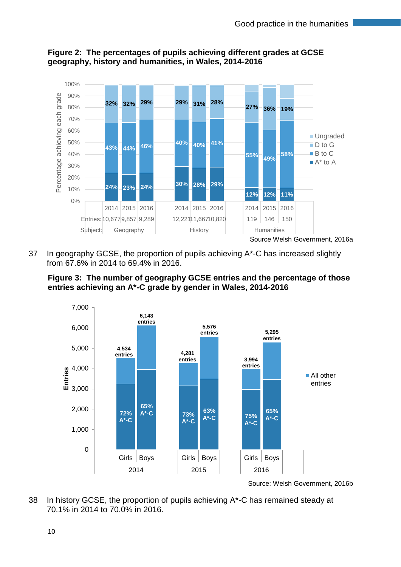

#### **Figure 2: The percentages of pupils achieving different grades at GCSE geography, history and humanities, in Wales, 2014-2016**

37 In geography GCSE, the proportion of pupils achieving A\*-C has increased slightly from 67.6% in 2014 to 69.4% in 2016.





38 In history GCSE, the proportion of pupils achieving  $A^*$ -C has remained steady at 70.1% in 2014 to 70.0% in 2016.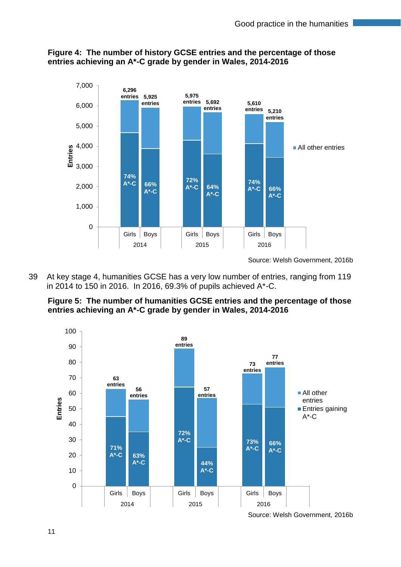

**Figure 4: The number of history GCSE entries and the percentage of those entries achieving an A\*-C grade by gender in Wales, 2014-2016**

39 At key stage 4, humanities GCSE has a very low number of entries, ranging from 119 in 2014 to 150 in 2016. In 2016, 69.3% of pupils achieved A\*-C.





Source: Welsh Government, 2016b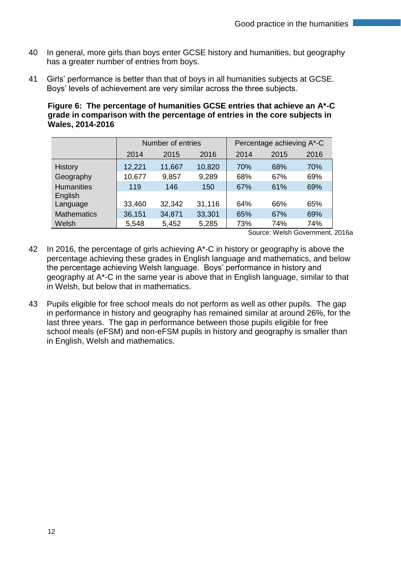- 40 In general, more girls than boys enter GCSE history and humanities, but geography has a greater number of entries from boys.
- 41 Girls' performance is better than that of boys in all humanities subjects at GCSE. Boys' levels of achievement are very similar across the three subjects.

**Figure 6: The percentage of humanities GCSE entries that achieve an A\*-C grade in comparison with the percentage of entries in the core subjects in Wales, 2014-2016**

|                    | Number of entries |        |        | Percentage achieving A*-C |      |      |
|--------------------|-------------------|--------|--------|---------------------------|------|------|
|                    | 2014              | 2015   | 2016   | 2014                      | 2015 | 2016 |
| <b>History</b>     | 12,221            | 11,667 | 10,820 | 70%                       | 68%  | 70%  |
| Geography          | 10,677            | 9,857  | 9,289  | 68%                       | 67%  | 69%  |
| <b>Humanities</b>  | 119               | 146    | 150    | 67%                       | 61%  | 69%  |
| English            |                   |        |        |                           |      |      |
| Language           | 33,460            | 32,342 | 31,116 | 64%                       | 66%  | 65%  |
| <b>Mathematics</b> | 36,151            | 34,871 | 33,301 | 65%                       | 67%  | 69%  |
| Welsh              | 5,548             | 5,452  | 5,285  | 73%                       | 74%  | 74%  |

Source: Welsh Government, 2016a

- 42 In 2016, the percentage of girls achieving A<sup>\*</sup>-C in history or geography is above the percentage achieving these grades in English language and mathematics, and below the percentage achieving Welsh language. Boys' performance in history and geography at A\*-C in the same year is above that in English language, similar to that in Welsh, but below that in mathematics.
- 43 Pupils eligible for free school meals do not perform as well as other pupils. The gap in performance in history and geography has remained similar at around 26%, for the last three years. The gap in performance between those pupils eligible for free school meals (eFSM) and non-eFSM pupils in history and geography is smaller than in English, Welsh and mathematics.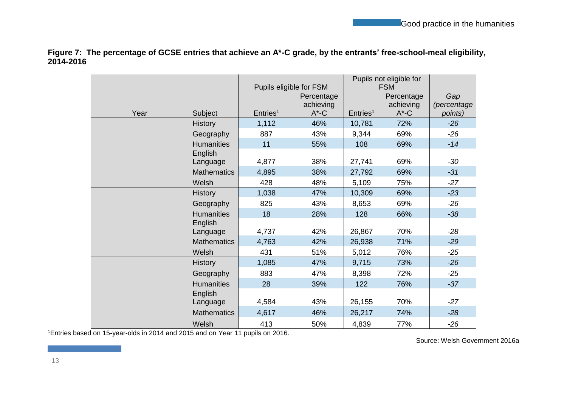**Figure 7: The percentage of GCSE entries that achieve an A\*-C grade, by the entrants' free-school-meal eligibility, 2014-2016**

|      |                     | Pupils eligible for FSM |                                     |                      | Pupils not eligible for<br><b>FSM</b> |                               |
|------|---------------------|-------------------------|-------------------------------------|----------------------|---------------------------------------|-------------------------------|
| Year | Subject             | Entries <sup>1</sup>    | Percentage<br>achieving<br>$A^*$ -C | Entries <sup>1</sup> | Percentage<br>achieving<br>$A^*$ -C   | Gap<br>(percentage<br>points) |
|      | <b>History</b>      | 1,112                   | 46%                                 | 10,781               | 72%                                   | $-26$                         |
|      | Geography           | 887                     | 43%                                 | 9,344                | 69%                                   | $-26$                         |
|      | <b>Humanities</b>   | 11                      | 55%                                 | 108                  | 69%                                   | $-14$                         |
|      | English<br>Language | 4,877                   | 38%                                 | 27,741               | 69%                                   | $-30$                         |
|      | <b>Mathematics</b>  | 4,895                   | 38%                                 | 27,792               | 69%                                   | $-31$                         |
|      | Welsh               | 428                     | 48%                                 | 5,109                | 75%                                   | $-27$                         |
|      | <b>History</b>      | 1,038                   | 47%                                 | 10,309               | 69%                                   | $-23$                         |
|      | Geography           | 825                     | 43%                                 | 8,653                | 69%                                   | $-26$                         |
|      | <b>Humanities</b>   | 18                      | 28%                                 | 128                  | 66%                                   | $-38$                         |
|      | English             |                         |                                     |                      |                                       |                               |
|      | Language            | 4,737                   | 42%                                 | 26,867               | 70%                                   | $-28$                         |
|      | <b>Mathematics</b>  | 4,763                   | 42%                                 | 26,938               | 71%                                   | $-29$                         |
|      | Welsh               | 431                     | 51%                                 | 5,012                | 76%                                   | $-25$                         |
|      | <b>History</b>      | 1,085                   | 47%                                 | 9,715                | 73%                                   | $-26$                         |
|      | Geography           | 883                     | 47%                                 | 8,398                | 72%                                   | $-25$                         |
|      | <b>Humanities</b>   | 28                      | 39%                                 | 122                  | 76%                                   | $-37$                         |
|      | English<br>Language | 4,584                   | 43%                                 | 26,155               | 70%                                   | $-27$                         |
|      | <b>Mathematics</b>  | 4,617                   | 46%                                 | 26,217               | 74%                                   | $-28$                         |
|      | Welsh               | 413                     | 50%                                 | 4,839                | 77%                                   | $-26$                         |

<sup>1</sup>Entries based on 15-year-olds in 2014 and 2015 and on Year 11 pupils on 2016.

Source: Welsh Government 2016a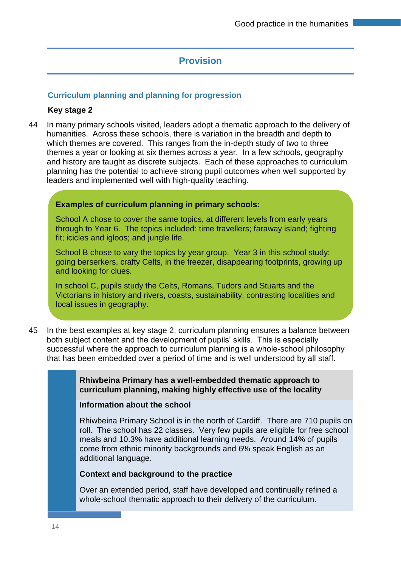## **Provision**

#### **Curriculum planning and planning for progression**

#### **Key stage 2**

44 In many primary schools visited, leaders adopt a thematic approach to the delivery of humanities. Across these schools, there is variation in the breadth and depth to which themes are covered. This ranges from the in-depth study of two to three themes a year or looking at six themes across a year. In a few schools, geography and history are taught as discrete subjects. Each of these approaches to curriculum planning has the potential to achieve strong pupil outcomes when well supported by leaders and implemented well with high-quality teaching.

#### **Examples of curriculum planning in primary schools:**

School A chose to cover the same topics, at different levels from early years through to Year 6. The topics included: time travellers; faraway island; fighting fit; icicles and igloos; and jungle life.

School B chose to vary the topics by year group. Year 3 in this school study: going berserkers, crafty Celts, in the freezer, disappearing footprints, growing up and looking for clues.

In school C, pupils study the Celts, Romans, Tudors and Stuarts and the Victorians in history and rivers, coasts, sustainability, contrasting localities and local issues in geography.

45 In the best examples at key stage 2, curriculum planning ensures a balance between both subject content and the development of pupils' skills. This is especially successful where the approach to curriculum planning is a whole-school philosophy that has been embedded over a period of time and is well understood by all staff.

> **Rhiwbeina Primary has a well-embedded thematic approach to curriculum planning, making highly effective use of the locality**

#### **Information about the school**

Rhiwbeina Primary School is in the north of Cardiff. There are 710 pupils on roll. The school has 22 classes. Very few pupils are eligible for free school meals and 10.3% have additional learning needs. Around 14% of pupils come from ethnic minority backgrounds and 6% speak English as an additional language.

#### **Context and background to the practice**

Over an extended period, staff have developed and continually refined a whole-school thematic approach to their delivery of the curriculum.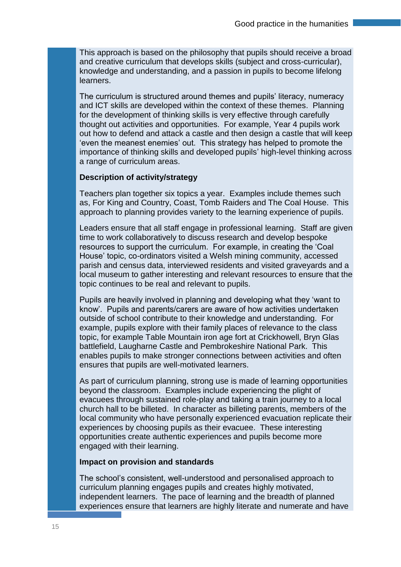This approach is based on the philosophy that pupils should receive a broad and creative curriculum that develops skills (subject and cross-curricular), knowledge and understanding, and a passion in pupils to become lifelong learners.

The curriculum is structured around themes and pupils' literacy, numeracy and ICT skills are developed within the context of these themes. Planning for the development of thinking skills is very effective through carefully thought out activities and opportunities. For example, Year 4 pupils work out how to defend and attack a castle and then design a castle that will keep 'even the meanest enemies' out. This strategy has helped to promote the importance of thinking skills and developed pupils' high-level thinking across a range of curriculum areas.

#### **Description of activity/strategy**

Teachers plan together six topics a year. Examples include themes such as, For King and Country, Coast, Tomb Raiders and The Coal House. This approach to planning provides variety to the learning experience of pupils.

Leaders ensure that all staff engage in professional learning. Staff are given time to work collaboratively to discuss research and develop bespoke resources to support the curriculum. For example, in creating the 'Coal House' topic, co-ordinators visited a Welsh mining community, accessed parish and census data, interviewed residents and visited graveyards and a local museum to gather interesting and relevant resources to ensure that the topic continues to be real and relevant to pupils.

Pupils are heavily involved in planning and developing what they 'want to know'. Pupils and parents/carers are aware of how activities undertaken outside of school contribute to their knowledge and understanding. For example, pupils explore with their family places of relevance to the class topic, for example Table Mountain iron age fort at Crickhowell, Bryn Glas battlefield, Laugharne Castle and Pembrokeshire National Park. This enables pupils to make stronger connections between activities and often ensures that pupils are well-motivated learners.

As part of curriculum planning, strong use is made of learning opportunities beyond the classroom. Examples include experiencing the plight of evacuees through sustained role-play and taking a train journey to a local church hall to be billeted. In character as billeting parents, members of the local community who have personally experienced evacuation replicate their experiences by choosing pupils as their evacuee. These interesting opportunities create authentic experiences and pupils become more engaged with their learning.

#### **Impact on provision and standards**

The school's consistent, well-understood and personalised approach to curriculum planning engages pupils and creates highly motivated, independent learners. The pace of learning and the breadth of planned experiences ensure that learners are highly literate and numerate and have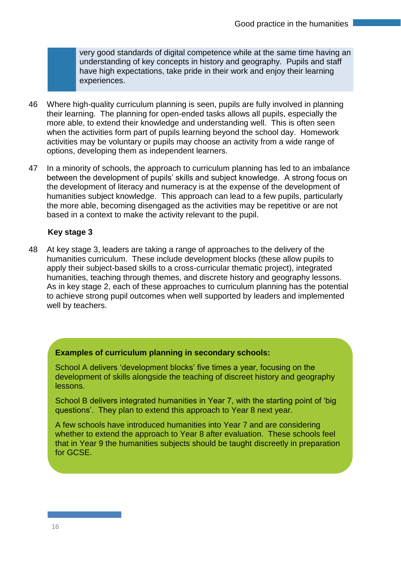very good standards of digital competence while at the same time having an understanding of key concepts in history and geography. Pupils and staff have high expectations, take pride in their work and enjoy their learning experiences.

- 46 Where high-quality curriculum planning is seen, pupils are fully involved in planning their learning. The planning for open-ended tasks allows all pupils, especially the more able, to extend their knowledge and understanding well. This is often seen when the activities form part of pupils learning beyond the school day. Homework activities may be voluntary or pupils may choose an activity from a wide range of options, developing them as independent learners.
- 47 In a minority of schools, the approach to curriculum planning has led to an imbalance between the development of pupils' skills and subject knowledge. A strong focus on the development of literacy and numeracy is at the expense of the development of humanities subject knowledge. This approach can lead to a few pupils, particularly the more able, becoming disengaged as the activities may be repetitive or are not based in a context to make the activity relevant to the pupil.

#### **Key stage 3**

48 At key stage 3, leaders are taking a range of approaches to the delivery of the humanities curriculum. These include development blocks (these allow pupils to apply their subject-based skills to a cross-curricular thematic project), integrated humanities, teaching through themes, and discrete history and geography lessons. As in key stage 2, each of these approaches to curriculum planning has the potential to achieve strong pupil outcomes when well supported by leaders and implemented well by teachers.

#### **Examples of curriculum planning in secondary schools:**

School A delivers 'development blocks' five times a year, focusing on the development of skills alongside the teaching of discreet history and geography lessons.

School B delivers integrated humanities in Year 7, with the starting point of 'big questions'. They plan to extend this approach to Year 8 next year.

A few schools have introduced humanities into Year 7 and are considering whether to extend the approach to Year 8 after evaluation. These schools feel that in Year 9 the humanities subjects should be taught discreetly in preparation for GCSE.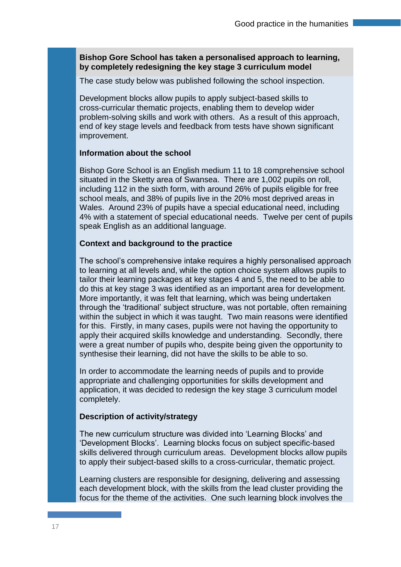#### **Bishop Gore School has taken a personalised approach to learning, by completely redesigning the key stage 3 curriculum model**

The case study below was published following the school inspection.

Development blocks allow pupils to apply subject-based skills to cross-curricular thematic projects, enabling them to develop wider problem-solving skills and work with others. As a result of this approach, end of key stage levels and feedback from tests have shown significant improvement.

#### **Information about the school**

Bishop Gore School is an English medium 11 to 18 comprehensive school situated in the Sketty area of Swansea. There are 1,002 pupils on roll, including 112 in the sixth form, with around 26% of pupils eligible for free school meals, and 38% of pupils live in the 20% most deprived areas in Wales. Around 23% of pupils have a special educational need, including 4% with a statement of special educational needs. Twelve per cent of pupils speak English as an additional language.

#### **Context and background to the practice**

The school's comprehensive intake requires a highly personalised approach to learning at all levels and, while the option choice system allows pupils to tailor their learning packages at key stages 4 and 5, the need to be able to do this at key stage 3 was identified as an important area for development. More importantly, it was felt that learning, which was being undertaken through the 'traditional' subject structure, was not portable, often remaining within the subject in which it was taught. Two main reasons were identified for this. Firstly, in many cases, pupils were not having the opportunity to apply their acquired skills knowledge and understanding. Secondly, there were a great number of pupils who, despite being given the opportunity to synthesise their learning, did not have the skills to be able to so.

In order to accommodate the learning needs of pupils and to provide appropriate and challenging opportunities for skills development and application, it was decided to redesign the key stage 3 curriculum model completely.

#### **Description of activity/strategy**

The new curriculum structure was divided into 'Learning Blocks' and 'Development Blocks'. Learning blocks focus on subject specific-based skills delivered through curriculum areas. Development blocks allow pupils to apply their subject-based skills to a cross-curricular, thematic project.

Learning clusters are responsible for designing, delivering and assessing each development block, with the skills from the lead cluster providing the focus for the theme of the activities. One such learning block involves the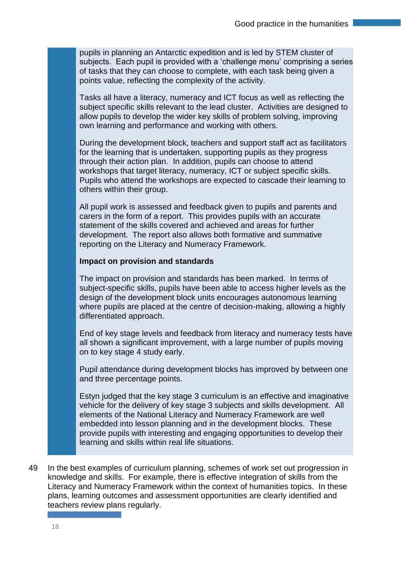pupils in planning an Antarctic expedition and is led by STEM cluster of subjects. Each pupil is provided with a 'challenge menu' comprising a series of tasks that they can choose to complete, with each task being given a points value, reflecting the complexity of the activity.

Tasks all have a literacy, numeracy and ICT focus as well as reflecting the subject specific skills relevant to the lead cluster. Activities are designed to allow pupils to develop the wider key skills of problem solving, improving own learning and performance and working with others.

During the development block, teachers and support staff act as facilitators for the learning that is undertaken, supporting pupils as they progress through their action plan. In addition, pupils can choose to attend workshops that target literacy, numeracy, ICT or subject specific skills. Pupils who attend the workshops are expected to cascade their learning to others within their group.

All pupil work is assessed and feedback given to pupils and parents and carers in the form of a report. This provides pupils with an accurate statement of the skills covered and achieved and areas for further development. The report also allows both formative and summative reporting on the Literacy and Numeracy Framework.

#### **Impact on provision and standards**

The impact on provision and standards has been marked. In terms of subject-specific skills, pupils have been able to access higher levels as the design of the development block units encourages autonomous learning where pupils are placed at the centre of decision-making, allowing a highly differentiated approach.

End of key stage levels and feedback from literacy and numeracy tests have all shown a significant improvement, with a large number of pupils moving on to key stage 4 study early.

Pupil attendance during development blocks has improved by between one and three percentage points.

Estyn judged that the key stage 3 curriculum is an effective and imaginative vehicle for the delivery of key stage 3 subjects and skills development. All elements of the National Literacy and Numeracy Framework are well embedded into lesson planning and in the development blocks. These provide pupils with interesting and engaging opportunities to develop their learning and skills within real life situations.

49 In the best examples of curriculum planning, schemes of work set out progression in knowledge and skills. For example, there is effective integration of skills from the Literacy and Numeracy Framework within the context of humanities topics. In these plans, learning outcomes and assessment opportunities are clearly identified and teachers review plans regularly.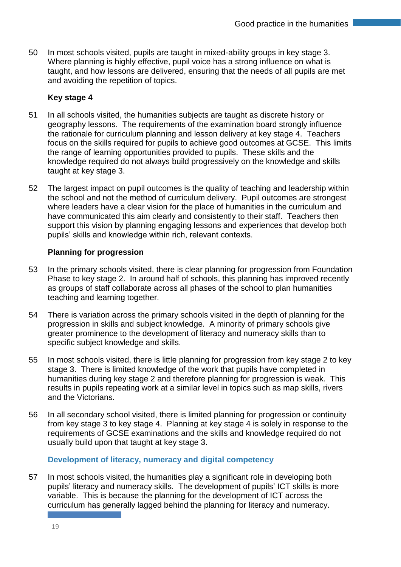50 In most schools visited, pupils are taught in mixed-ability groups in key stage 3. Where planning is highly effective, pupil voice has a strong influence on what is taught, and how lessons are delivered, ensuring that the needs of all pupils are met and avoiding the repetition of topics.

#### **Key stage 4**

- 51 In all schools visited, the humanities subjects are taught as discrete history or geography lessons. The requirements of the examination board strongly influence the rationale for curriculum planning and lesson delivery at key stage 4. Teachers focus on the skills required for pupils to achieve good outcomes at GCSE. This limits the range of learning opportunities provided to pupils. These skills and the knowledge required do not always build progressively on the knowledge and skills taught at key stage 3.
- 52 The largest impact on pupil outcomes is the quality of teaching and leadership within the school and not the method of curriculum delivery. Pupil outcomes are strongest where leaders have a clear vision for the place of humanities in the curriculum and have communicated this aim clearly and consistently to their staff. Teachers then support this vision by planning engaging lessons and experiences that develop both pupils' skills and knowledge within rich, relevant contexts.

#### **Planning for progression**

- 53 In the primary schools visited, there is clear planning for progression from Foundation Phase to key stage 2. In around half of schools, this planning has improved recently as groups of staff collaborate across all phases of the school to plan humanities teaching and learning together.
- 54 There is variation across the primary schools visited in the depth of planning for the progression in skills and subject knowledge. A minority of primary schools give greater prominence to the development of literacy and numeracy skills than to specific subject knowledge and skills.
- 55 In most schools visited, there is little planning for progression from key stage 2 to key stage 3. There is limited knowledge of the work that pupils have completed in humanities during key stage 2 and therefore planning for progression is weak. This results in pupils repeating work at a similar level in topics such as map skills, rivers and the Victorians.
- 56 In all secondary school visited, there is limited planning for progression or continuity from key stage 3 to key stage 4. Planning at key stage 4 is solely in response to the requirements of GCSE examinations and the skills and knowledge required do not usually build upon that taught at key stage 3.

#### **Development of literacy, numeracy and digital competency**

57 In most schools visited, the humanities play a significant role in developing both pupils' literacy and numeracy skills. The development of pupils' ICT skills is more variable. This is because the planning for the development of ICT across the curriculum has generally lagged behind the planning for literacy and numeracy.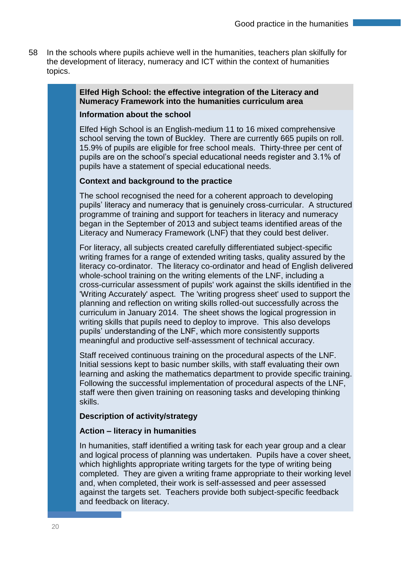58 In the schools where pupils achieve well in the humanities, teachers plan skilfully for the development of literacy, numeracy and ICT within the context of humanities topics.

## **Elfed High School: the effective integration of the Literacy and Numeracy Framework into the humanities curriculum area**

#### **Information about the school**

Elfed High School is an English-medium 11 to 16 mixed comprehensive school serving the town of Buckley. There are currently 665 pupils on roll. 15.9% of pupils are eligible for free school meals. Thirty-three per cent of pupils are on the school's special educational needs register and 3.1% of pupils have a statement of special educational needs.

#### **Context and background to the practice**

The school recognised the need for a coherent approach to developing pupils' literacy and numeracy that is genuinely cross-curricular. A structured programme of training and support for teachers in literacy and numeracy began in the September of 2013 and subject teams identified areas of the Literacy and Numeracy Framework (LNF) that they could best deliver.

For literacy, all subjects created carefully differentiated subject-specific writing frames for a range of extended writing tasks, quality assured by the literacy co-ordinator. The literacy co-ordinator and head of English delivered whole-school training on the writing elements of the LNF, including a cross-curricular assessment of pupils' work against the skills identified in the 'Writing Accurately' aspect. The 'writing progress sheet' used to support the planning and reflection on writing skills rolled-out successfully across the curriculum in January 2014. The sheet shows the logical progression in writing skills that pupils need to deploy to improve. This also develops pupils' understanding of the LNF, which more consistently supports meaningful and productive self-assessment of technical accuracy.

Staff received continuous training on the procedural aspects of the LNF. Initial sessions kept to basic number skills, with staff evaluating their own learning and asking the mathematics department to provide specific training. Following the successful implementation of procedural aspects of the LNF, staff were then given training on reasoning tasks and developing thinking skills.

#### **Description of activity/strategy**

#### **Action – literacy in humanities**

In humanities, staff identified a writing task for each year group and a clear and logical process of planning was undertaken. Pupils have a cover sheet, which highlights appropriate writing targets for the type of writing being completed. They are given a writing frame appropriate to their working level and, when completed, their work is self-assessed and peer assessed against the targets set. Teachers provide both subject-specific feedback and feedback on literacy.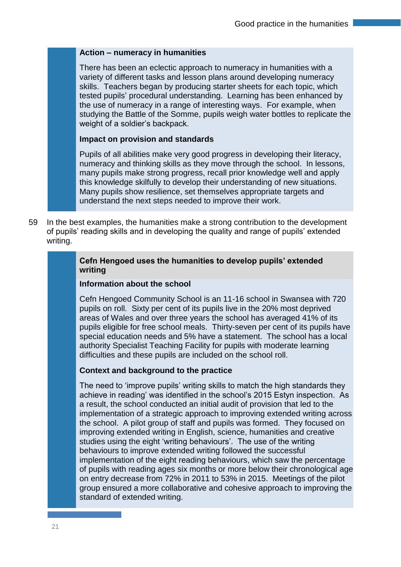#### **Action – numeracy in humanities**

There has been an eclectic approach to numeracy in humanities with a variety of different tasks and lesson plans around developing numeracy skills. Teachers began by producing starter sheets for each topic, which tested pupils' procedural understanding. Learning has been enhanced by the use of numeracy in a range of interesting ways. For example, when studying the Battle of the Somme, pupils weigh water bottles to replicate the weight of a soldier's backpack.

#### **Impact on provision and standards**

Pupils of all abilities make very good progress in developing their literacy, numeracy and thinking skills as they move through the school. In lessons, many pupils make strong progress, recall prior knowledge well and apply this knowledge skilfully to develop their understanding of new situations. Many pupils show resilience, set themselves appropriate targets and understand the next steps needed to improve their work.

59 In the best examples, the humanities make a strong contribution to the development of pupils' reading skills and in developing the quality and range of pupils' extended writing.

#### **Cefn Hengoed uses the humanities to develop pupils' extended writing**

#### **Information about the school**

Cefn Hengoed Community School is an 11-16 school in Swansea with 720 pupils on roll. Sixty per cent of its pupils live in the 20% most deprived areas of Wales and over three years the school has averaged 41% of its pupils eligible for free school meals. Thirty-seven per cent of its pupils have special education needs and 5% have a statement. The school has a local authority Specialist Teaching Facility for pupils with moderate learning difficulties and these pupils are included on the school roll.

#### **Context and background to the practice**

The need to 'improve pupils' writing skills to match the high standards they achieve in reading' was identified in the school's 2015 Estyn inspection. As a result, the school conducted an initial audit of provision that led to the implementation of a strategic approach to improving extended writing across the school. A pilot group of staff and pupils was formed. They focused on improving extended writing in English, science, humanities and creative studies using the eight 'writing behaviours'. The use of the writing behaviours to improve extended writing followed the successful implementation of the eight reading behaviours, which saw the percentage of pupils with reading ages six months or more below their chronological age on entry decrease from 72% in 2011 to 53% in 2015. Meetings of the pilot group ensured a more collaborative and cohesive approach to improving the standard of extended writing.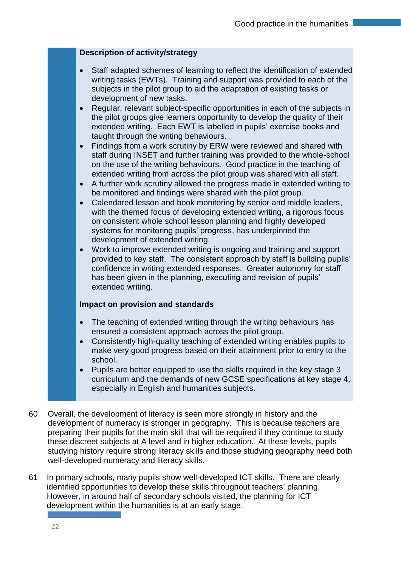#### **Description of activity/strategy**

- Staff adapted schemes of learning to reflect the identification of extended writing tasks (EWTs). Training and support was provided to each of the subjects in the pilot group to aid the adaptation of existing tasks or development of new tasks.
- Regular, relevant subject-specific opportunities in each of the subjects in the pilot groups give learners opportunity to develop the quality of their extended writing. Each EWT is labelled in pupils' exercise books and taught through the writing behaviours.
- Findings from a work scrutiny by ERW were reviewed and shared with staff during INSET and further training was provided to the whole-school on the use of the writing behaviours. Good practice in the teaching of extended writing from across the pilot group was shared with all staff.
- A further work scrutiny allowed the progress made in extended writing to be monitored and findings were shared with the pilot group.
- Calendared lesson and book monitoring by senior and middle leaders, with the themed focus of developing extended writing, a rigorous focus on consistent whole school lesson planning and highly developed systems for monitoring pupils' progress, has underpinned the development of extended writing.
- Work to improve extended writing is ongoing and training and support provided to key staff. The consistent approach by staff is building pupils' confidence in writing extended responses. Greater autonomy for staff has been given in the planning, executing and revision of pupils' extended writing.

#### **Impact on provision and standards**

- The teaching of extended writing through the writing behaviours has ensured a consistent approach across the pilot group.
- Consistently high-quality teaching of extended writing enables pupils to make very good progress based on their attainment prior to entry to the school.
- Pupils are better equipped to use the skills required in the key stage 3 curriculum and the demands of new GCSE specifications at key stage 4, especially in English and humanities subjects.
- 60 Overall, the development of literacy is seen more strongly in history and the development of numeracy is stronger in geography. This is because teachers are preparing their pupils for the main skill that will be required if they continue to study these discreet subjects at A level and in higher education. At these levels, pupils studying history require strong literacy skills and those studying geography need both well-developed numeracy and literacy skills.
- 61 In primary schools, many pupils show well-developed ICT skills. There are clearly identified opportunities to develop these skills throughout teachers' planning. However, in around half of secondary schools visited, the planning for ICT development within the humanities is at an early stage.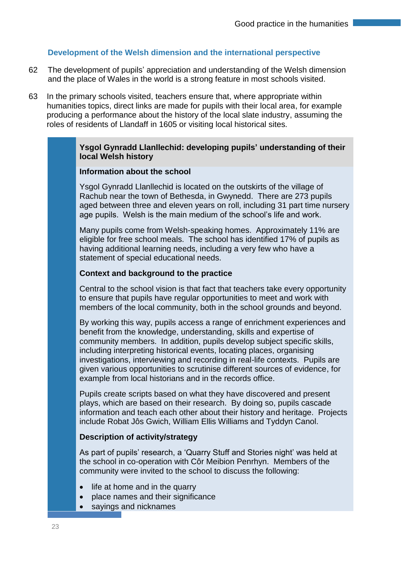#### **Development of the Welsh dimension and the international perspective**

- 62 The development of pupils' appreciation and understanding of the Welsh dimension and the place of Wales in the world is a strong feature in most schools visited.
- 63 In the primary schools visited, teachers ensure that, where appropriate within humanities topics, direct links are made for pupils with their local area, for example producing a performance about the history of the local slate industry, assuming the roles of residents of Llandaff in 1605 or visiting local historical sites.

#### **Ysgol Gynradd Llanllechid: developing pupils' understanding of their local Welsh history**

#### **Information about the school**

Ysgol Gynradd Llanllechid is located on the outskirts of the village of Rachub near the town of Bethesda, in Gwynedd. There are 273 pupils aged between three and eleven years on roll, including 31 part time nursery age pupils. Welsh is the main medium of the school's life and work.

Many pupils come from Welsh-speaking homes. Approximately 11% are eligible for free school meals. The school has identified 17% of pupils as having additional learning needs, including a very few who have a statement of special educational needs.

#### **Context and background to the practice**

Central to the school vision is that fact that teachers take every opportunity to ensure that pupils have regular opportunities to meet and work with members of the local community, both in the school grounds and beyond.

By working this way, pupils access a range of enrichment experiences and benefit from the knowledge, understanding, skills and expertise of community members. In addition, pupils develop subject specific skills, including interpreting historical events, locating places, organising investigations, interviewing and recording in real-life contexts. Pupils are given various opportunities to scrutinise different sources of evidence, for example from local historians and in the records office.

Pupils create scripts based on what they have discovered and present plays, which are based on their research. By doing so, pupils cascade information and teach each other about their history and heritage. Projects include Robat Jôs Gwich, William Ellis Williams and Tyddyn Canol.

#### **Description of activity/strategy**

As part of pupils' research, a 'Quarry Stuff and Stories night' was held at the school in co-operation with Côr Meibion Penrhyn. Members of the community were invited to the school to discuss the following:

- life at home and in the quarry
- place names and their significance
- sayings and nicknames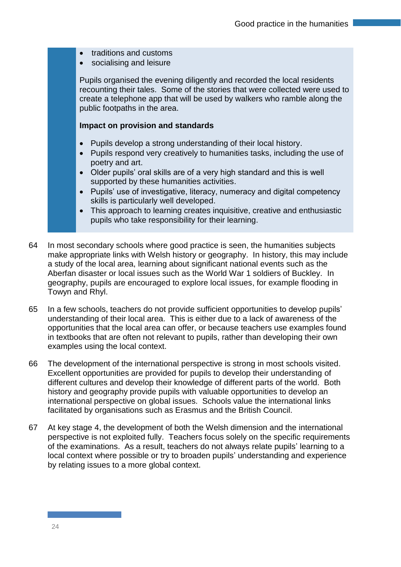- traditions and customs
- socialising and leisure

Pupils organised the evening diligently and recorded the local residents recounting their tales. Some of the stories that were collected were used to create a telephone app that will be used by walkers who ramble along the public footpaths in the area.

#### **Impact on provision and standards**

- Pupils develop a strong understanding of their local history.
- Pupils respond very creatively to humanities tasks, including the use of poetry and art.
- Older pupils' oral skills are of a very high standard and this is well supported by these humanities activities.
- Pupils' use of investigative, literacy, numeracy and digital competency skills is particularly well developed.
- This approach to learning creates inquisitive, creative and enthusiastic pupils who take responsibility for their learning.
- 64 In most secondary schools where good practice is seen, the humanities subjects make appropriate links with Welsh history or geography. In history, this may include a study of the local area, learning about significant national events such as the Aberfan disaster or local issues such as the World War 1 soldiers of Buckley. In geography, pupils are encouraged to explore local issues, for example flooding in Towyn and Rhyl.
- 65 In a few schools, teachers do not provide sufficient opportunities to develop pupils' understanding of their local area. This is either due to a lack of awareness of the opportunities that the local area can offer, or because teachers use examples found in textbooks that are often not relevant to pupils, rather than developing their own examples using the local context.
- 66 The development of the international perspective is strong in most schools visited. Excellent opportunities are provided for pupils to develop their understanding of different cultures and develop their knowledge of different parts of the world. Both history and geography provide pupils with valuable opportunities to develop an international perspective on global issues. Schools value the international links facilitated by organisations such as Erasmus and the British Council.
- 67 At key stage 4, the development of both the Welsh dimension and the international perspective is not exploited fully. Teachers focus solely on the specific requirements of the examinations. As a result, teachers do not always relate pupils' learning to a local context where possible or try to broaden pupils' understanding and experience by relating issues to a more global context.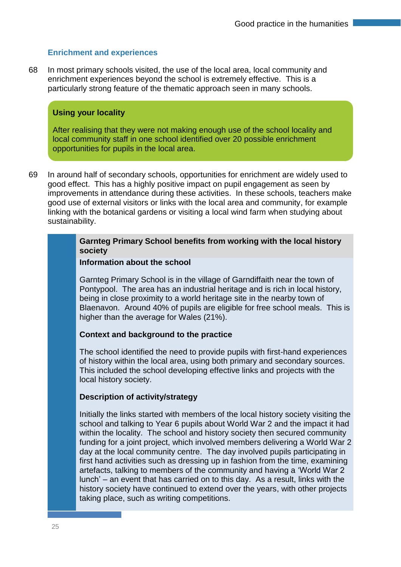#### **Enrichment and experiences**

68 In most primary schools visited, the use of the local area, local community and enrichment experiences beyond the school is extremely effective. This is a particularly strong feature of the thematic approach seen in many schools.

#### **Using your locality**

After realising that they were not making enough use of the school locality and local community staff in one school identified over 20 possible enrichment opportunities for pupils in the local area.

69 In around half of secondary schools, opportunities for enrichment are widely used to good effect. This has a highly positive impact on pupil engagement as seen by improvements in attendance during these activities. In these schools, teachers make good use of external visitors or links with the local area and community, for example linking with the botanical gardens or visiting a local wind farm when studying about sustainability.

#### **Garnteg Primary School benefits from working with the local history society**

#### **Information about the school**

Garnteg Primary School is in the village of Garndiffaith near the town of Pontypool. The area has an industrial heritage and is rich in local history, being in close proximity to a world heritage site in the nearby town of Blaenavon. Around 40% of pupils are eligible for free school meals. This is higher than the average for Wales (21%).

#### **Context and background to the practice**

The school identified the need to provide pupils with first-hand experiences of history within the local area, using both primary and secondary sources. This included the school developing effective links and projects with the local history society.

#### **Description of activity/strategy**

Initially the links started with members of the local history society visiting the school and talking to Year 6 pupils about World War 2 and the impact it had within the locality. The school and history society then secured community funding for a joint project, which involved members delivering a World War 2 day at the local community centre. The day involved pupils participating in first hand activities such as dressing up in fashion from the time, examining artefacts, talking to members of the community and having a 'World War 2 lunch' – an event that has carried on to this day. As a result, links with the history society have continued to extend over the years, with other projects taking place, such as writing competitions.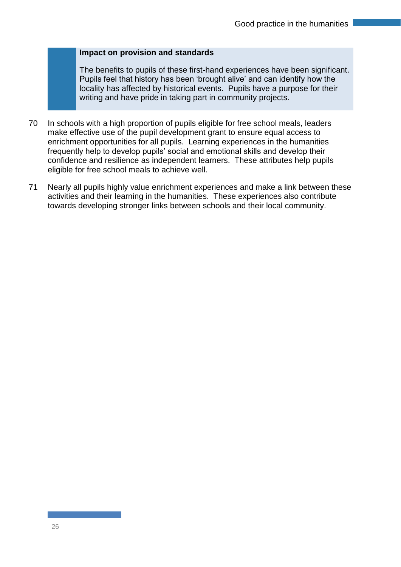#### **Impact on provision and standards**

The benefits to pupils of these first-hand experiences have been significant. Pupils feel that history has been 'brought alive' and can identify how the locality has affected by historical events. Pupils have a purpose for their writing and have pride in taking part in community projects.

- 70 In schools with a high proportion of pupils eligible for free school meals, leaders make effective use of the pupil development grant to ensure equal access to enrichment opportunities for all pupils. Learning experiences in the humanities frequently help to develop pupils' social and emotional skills and develop their confidence and resilience as independent learners. These attributes help pupils eligible for free school meals to achieve well.
- 71 Nearly all pupils highly value enrichment experiences and make a link between these activities and their learning in the humanities. These experiences also contribute towards developing stronger links between schools and their local community.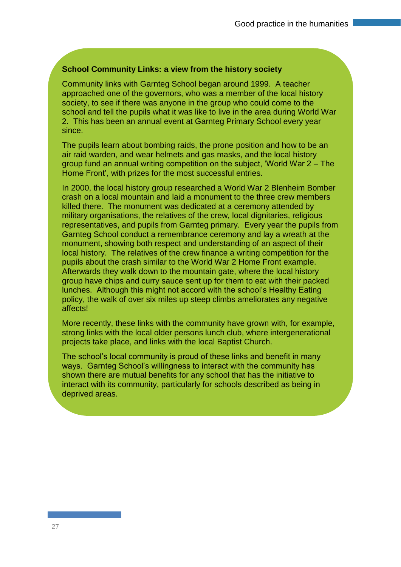#### **School Community Links: a view from the history society**

Community links with Garnteg School began around 1999. A teacher approached one of the governors, who was a member of the local history society, to see if there was anyone in the group who could come to the school and tell the pupils what it was like to live in the area during World War 2. This has been an annual event at Garnteg Primary School every year since.

The pupils learn about bombing raids, the prone position and how to be an air raid warden, and wear helmets and gas masks, and the local history group fund an annual writing competition on the subject, 'World War 2 – The Home Front', with prizes for the most successful entries.

In 2000, the local history group researched a World War 2 Blenheim Bomber crash on a local mountain and laid a monument to the three crew members killed there. The monument was dedicated at a ceremony attended by military organisations, the relatives of the crew, local dignitaries, religious representatives, and pupils from Garnteg primary. Every year the pupils from Garnteg School conduct a remembrance ceremony and lay a wreath at the monument, showing both respect and understanding of an aspect of their local history. The relatives of the crew finance a writing competition for the pupils about the crash similar to the World War 2 Home Front example. Afterwards they walk down to the mountain gate, where the local history group have chips and curry sauce sent up for them to eat with their packed lunches. Although this might not accord with the school's Healthy Eating policy, the walk of over six miles up steep climbs ameliorates any negative affects!

More recently, these links with the community have grown with, for example, strong links with the local older persons lunch club, where intergenerational projects take place, and links with the local Baptist Church.

The school's local community is proud of these links and benefit in many ways. Garnteg School's willingness to interact with the community has shown there are mutual benefits for any school that has the initiative to interact with its community, particularly for schools described as being in deprived areas.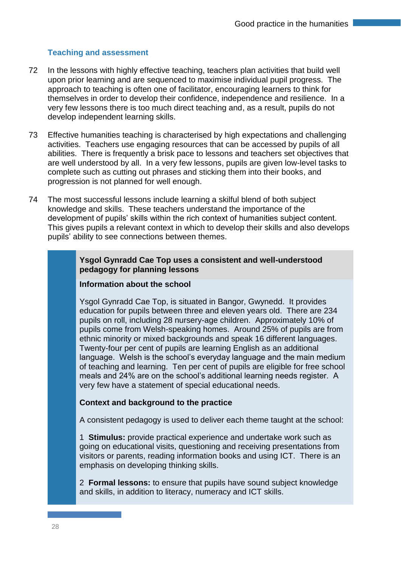#### **Teaching and assessment**

- 72 In the lessons with highly effective teaching, teachers plan activities that build well upon prior learning and are sequenced to maximise individual pupil progress. The approach to teaching is often one of facilitator, encouraging learners to think for themselves in order to develop their confidence, independence and resilience. In a very few lessons there is too much direct teaching and, as a result, pupils do not develop independent learning skills.
- 73 Effective humanities teaching is characterised by high expectations and challenging activities. Teachers use engaging resources that can be accessed by pupils of all abilities. There is frequently a brisk pace to lessons and teachers set objectives that are well understood by all. In a very few lessons, pupils are given low-level tasks to complete such as cutting out phrases and sticking them into their books, and progression is not planned for well enough.
- 74 The most successful lessons include learning a skilful blend of both subject knowledge and skills. These teachers understand the importance of the development of pupils' skills within the rich context of humanities subject content. This gives pupils a relevant context in which to develop their skills and also develops pupils' ability to see connections between themes.

#### **Ysgol Gynradd Cae Top uses a consistent and well-understood pedagogy for planning lessons**

#### **Information about the school**

Ysgol Gynradd Cae Top, is situated in Bangor, Gwynedd. It provides education for pupils between three and eleven years old. There are 234 pupils on roll, including 28 nursery-age children. Approximately 10% of pupils come from Welsh-speaking homes. Around 25% of pupils are from ethnic minority or mixed backgrounds and speak 16 different languages. Twenty-four per cent of pupils are learning English as an additional language. Welsh is the school's everyday language and the main medium of teaching and learning. Ten per cent of pupils are eligible for free school meals and 24% are on the school's additional learning needs register. A very few have a statement of special educational needs.

#### **Context and background to the practice**

A consistent pedagogy is used to deliver each theme taught at the school:

1 **Stimulus:** provide practical experience and undertake work such as going on educational visits, questioning and receiving presentations from visitors or parents, reading information books and using ICT. There is an emphasis on developing thinking skills.

2 **Formal lessons:** to ensure that pupils have sound subject knowledge and skills, in addition to literacy, numeracy and ICT skills.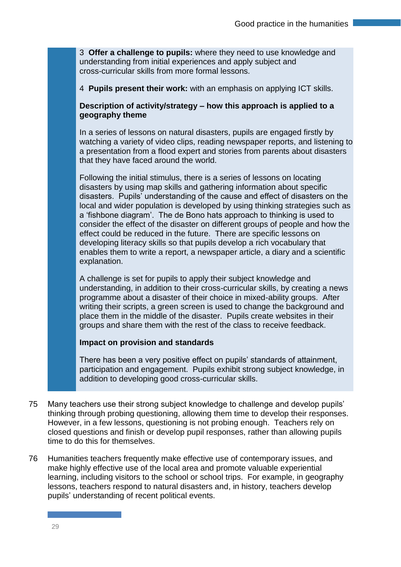3 **Offer a challenge to pupils:** where they need to use knowledge and understanding from initial experiences and apply subject and cross-curricular skills from more formal lessons.

4 **Pupils present their work:** with an emphasis on applying ICT skills.

#### **Description of activity/strategy – how this approach is applied to a geography theme**

In a series of lessons on natural disasters, pupils are engaged firstly by watching a variety of video clips, reading newspaper reports, and listening to a presentation from a flood expert and stories from parents about disasters that they have faced around the world.

Following the initial stimulus, there is a series of lessons on locating disasters by using map skills and gathering information about specific disasters. Pupils' understanding of the cause and effect of disasters on the local and wider population is developed by using thinking strategies such as a 'fishbone diagram'. The de Bono hats approach to thinking is used to consider the effect of the disaster on different groups of people and how the effect could be reduced in the future. There are specific lessons on developing literacy skills so that pupils develop a rich vocabulary that enables them to write a report, a newspaper article, a diary and a scientific explanation.

A challenge is set for pupils to apply their subject knowledge and understanding, in addition to their cross-curricular skills, by creating a news programme about a disaster of their choice in mixed-ability groups. After writing their scripts, a green screen is used to change the background and place them in the middle of the disaster. Pupils create websites in their groups and share them with the rest of the class to receive feedback.

#### **Impact on provision and standards**

There has been a very positive effect on pupils' standards of attainment, participation and engagement. Pupils exhibit strong subject knowledge, in addition to developing good cross-curricular skills.

- 75 Many teachers use their strong subject knowledge to challenge and develop pupils' thinking through probing questioning, allowing them time to develop their responses. However, in a few lessons, questioning is not probing enough. Teachers rely on closed questions and finish or develop pupil responses, rather than allowing pupils time to do this for themselves.
- 76 Humanities teachers frequently make effective use of contemporary issues, and make highly effective use of the local area and promote valuable experiential learning, including visitors to the school or school trips. For example, in geography lessons, teachers respond to natural disasters and, in history, teachers develop pupils' understanding of recent political events.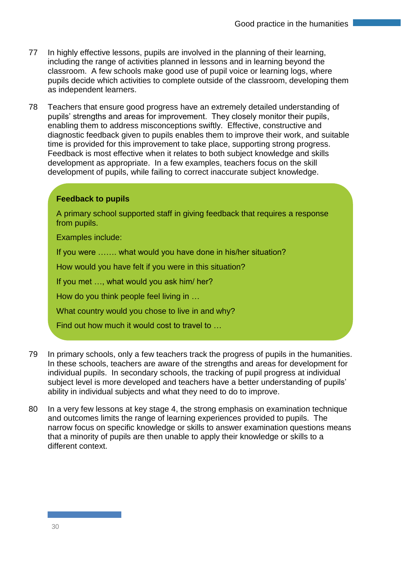- 77 In highly effective lessons, pupils are involved in the planning of their learning, including the range of activities planned in lessons and in learning beyond the classroom. A few schools make good use of pupil voice or learning logs, where pupils decide which activities to complete outside of the classroom, developing them as independent learners.
- 78 Teachers that ensure good progress have an extremely detailed understanding of pupils' strengths and areas for improvement. They closely monitor their pupils, enabling them to address misconceptions swiftly. Effective, constructive and diagnostic feedback given to pupils enables them to improve their work, and suitable time is provided for this improvement to take place, supporting strong progress. Feedback is most effective when it relates to both subject knowledge and skills development as appropriate. In a few examples, teachers focus on the skill development of pupils, while failing to correct inaccurate subject knowledge.

#### **Feedback to pupils**

A primary school supported staff in giving feedback that requires a response from pupils.

Examples include:

If you were ……. what would you have done in his/her situation?

How would you have felt if you were in this situation?

If you met …, what would you ask him/ her?

How do you think people feel living in …

What country would you chose to live in and why?

Find out how much it would cost to travel to …

- 79 In primary schools, only a few teachers track the progress of pupils in the humanities. In these schools, teachers are aware of the strengths and areas for development for individual pupils. In secondary schools, the tracking of pupil progress at individual subject level is more developed and teachers have a better understanding of pupils' ability in individual subjects and what they need to do to improve.
- 80 In a very few lessons at key stage 4, the strong emphasis on examination technique and outcomes limits the range of learning experiences provided to pupils. The narrow focus on specific knowledge or skills to answer examination questions means that a minority of pupils are then unable to apply their knowledge or skills to a different context.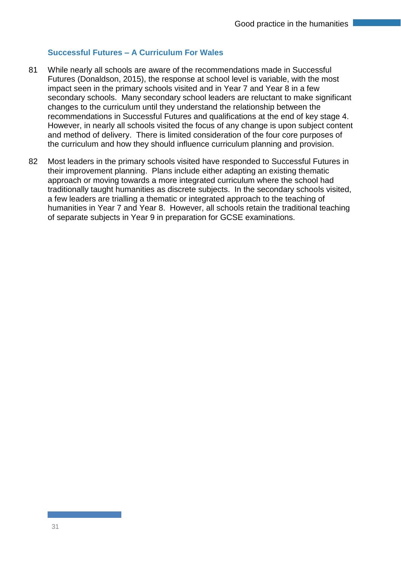#### **Successful Futures – A Curriculum For Wales**

- 81 While nearly all schools are aware of the recommendations made in Successful Futures (Donaldson, 2015), the response at school level is variable, with the most impact seen in the primary schools visited and in Year 7 and Year 8 in a few secondary schools. Many secondary school leaders are reluctant to make significant changes to the curriculum until they understand the relationship between the recommendations in Successful Futures and qualifications at the end of key stage 4. However, in nearly all schools visited the focus of any change is upon subject content and method of delivery. There is limited consideration of the four core purposes of the curriculum and how they should influence curriculum planning and provision.
- 82 Most leaders in the primary schools visited have responded to Successful Futures in their improvement planning. Plans include either adapting an existing thematic approach or moving towards a more integrated curriculum where the school had traditionally taught humanities as discrete subjects. In the secondary schools visited, a few leaders are trialling a thematic or integrated approach to the teaching of humanities in Year 7 and Year 8. However, all schools retain the traditional teaching of separate subjects in Year 9 in preparation for GCSE examinations.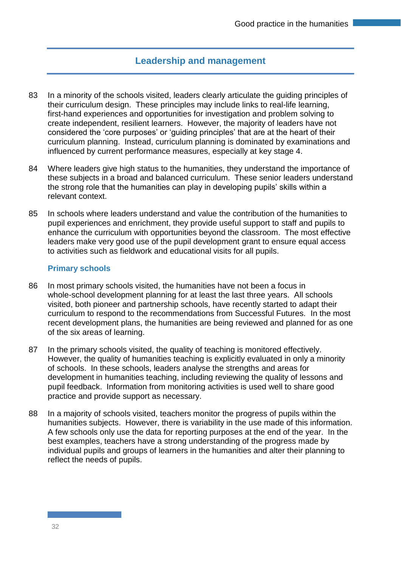## **Leadership and management**

- 83 In a minority of the schools visited, leaders clearly articulate the quiding principles of their curriculum design. These principles may include links to real-life learning, first-hand experiences and opportunities for investigation and problem solving to create independent, resilient learners. However, the majority of leaders have not considered the 'core purposes' or 'guiding principles' that are at the heart of their curriculum planning. Instead, curriculum planning is dominated by examinations and influenced by current performance measures, especially at key stage 4.
- 84 Where leaders give high status to the humanities, they understand the importance of these subjects in a broad and balanced curriculum. These senior leaders understand the strong role that the humanities can play in developing pupils' skills within a relevant context.
- 85 In schools where leaders understand and value the contribution of the humanities to pupil experiences and enrichment, they provide useful support to staff and pupils to enhance the curriculum with opportunities beyond the classroom. The most effective leaders make very good use of the pupil development grant to ensure equal access to activities such as fieldwork and educational visits for all pupils.

#### **Primary schools**

- 86 In most primary schools visited, the humanities have not been a focus in whole-school development planning for at least the last three years. All schools visited, both pioneer and partnership schools, have recently started to adapt their curriculum to respond to the recommendations from Successful Futures. In the most recent development plans, the humanities are being reviewed and planned for as one of the six areas of learning.
- 87 In the primary schools visited, the quality of teaching is monitored effectively. However, the quality of humanities teaching is explicitly evaluated in only a minority of schools. In these schools, leaders analyse the strengths and areas for development in humanities teaching, including reviewing the quality of lessons and pupil feedback. Information from monitoring activities is used well to share good practice and provide support as necessary.
- 88 In a majority of schools visited, teachers monitor the progress of pupils within the humanities subjects. However, there is variability in the use made of this information. A few schools only use the data for reporting purposes at the end of the year. In the best examples, teachers have a strong understanding of the progress made by individual pupils and groups of learners in the humanities and alter their planning to reflect the needs of pupils.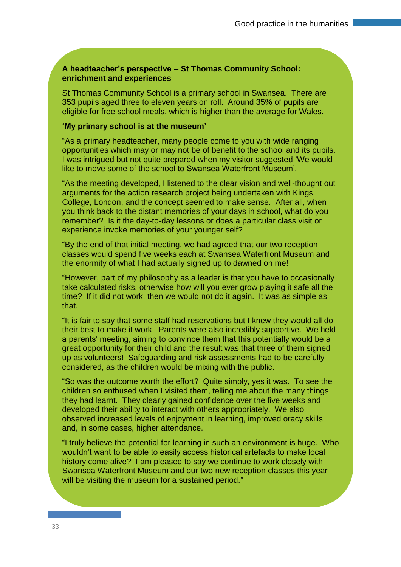#### **A headteacher's perspective – St Thomas Community School: enrichment and experiences**

St Thomas Community School is a primary school in Swansea. There are 353 pupils aged three to eleven years on roll. Around 35% of pupils are eligible for free school meals, which is higher than the average for Wales.

#### **'My primary school is at the museum'**

"As a primary headteacher, many people come to you with wide ranging opportunities which may or may not be of benefit to the school and its pupils. I was intrigued but not quite prepared when my visitor suggested 'We would like to move some of the school to Swansea Waterfront Museum'.

"As the meeting developed, I listened to the clear vision and well-thought out arguments for the action research project being undertaken with Kings College, London, and the concept seemed to make sense. After all, when you think back to the distant memories of your days in school, what do you remember? Is it the day-to-day lessons or does a particular class visit or experience invoke memories of your younger self?

"By the end of that initial meeting, we had agreed that our two reception classes would spend five weeks each at Swansea Waterfront Museum and the enormity of what I had actually signed up to dawned on me!

"However, part of my philosophy as a leader is that you have to occasionally take calculated risks, otherwise how will you ever grow playing it safe all the time? If it did not work, then we would not do it again. It was as simple as that.

"It is fair to say that some staff had reservations but I knew they would all do their best to make it work. Parents were also incredibly supportive. We held a parents' meeting, aiming to convince them that this potentially would be a great opportunity for their child and the result was that three of them signed up as volunteers! Safeguarding and risk assessments had to be carefully considered, as the children would be mixing with the public.

"So was the outcome worth the effort? Quite simply, yes it was. To see the children so enthused when I visited them, telling me about the many things they had learnt. They clearly gained confidence over the five weeks and developed their ability to interact with others appropriately. We also observed increased levels of enjoyment in learning, improved oracy skills and, in some cases, higher attendance.

"I truly believe the potential for learning in such an environment is huge. Who wouldn't want to be able to easily access historical artefacts to make local history come alive? I am pleased to say we continue to work closely with Swansea Waterfront Museum and our two new reception classes this year will be visiting the museum for a sustained period."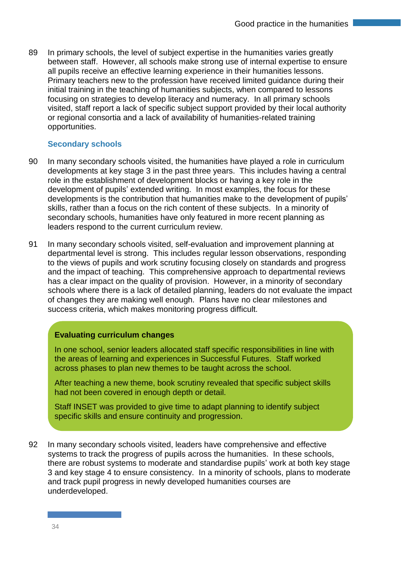89 In primary schools, the level of subject expertise in the humanities varies greatly between staff. However, all schools make strong use of internal expertise to ensure all pupils receive an effective learning experience in their humanities lessons. Primary teachers new to the profession have received limited guidance during their initial training in the teaching of humanities subjects, when compared to lessons focusing on strategies to develop literacy and numeracy. In all primary schools visited, staff report a lack of specific subject support provided by their local authority or regional consortia and a lack of availability of humanities-related training opportunities.

#### **Secondary schools**

- 90 In many secondary schools visited, the humanities have played a role in curriculum developments at key stage 3 in the past three years. This includes having a central role in the establishment of development blocks or having a key role in the development of pupils' extended writing. In most examples, the focus for these developments is the contribution that humanities make to the development of pupils' skills, rather than a focus on the rich content of these subjects. In a minority of secondary schools, humanities have only featured in more recent planning as leaders respond to the current curriculum review.
- 91 In many secondary schools visited, self-evaluation and improvement planning at departmental level is strong. This includes regular lesson observations, responding to the views of pupils and work scrutiny focusing closely on standards and progress and the impact of teaching. This comprehensive approach to departmental reviews has a clear impact on the quality of provision. However, in a minority of secondary schools where there is a lack of detailed planning, leaders do not evaluate the impact of changes they are making well enough. Plans have no clear milestones and success criteria, which makes monitoring progress difficult.

#### **Evaluating curriculum changes**

In one school, senior leaders allocated staff specific responsibilities in line with the areas of learning and experiences in Successful Futures. Staff worked across phases to plan new themes to be taught across the school.

After teaching a new theme, book scrutiny revealed that specific subject skills had not been covered in enough depth or detail.

Staff INSET was provided to give time to adapt planning to identify subject specific skills and ensure continuity and progression.

92 In many secondary schools visited, leaders have comprehensive and effective systems to track the progress of pupils across the humanities. In these schools, there are robust systems to moderate and standardise pupils' work at both key stage 3 and key stage 4 to ensure consistency. In a minority of schools, plans to moderate and track pupil progress in newly developed humanities courses are underdeveloped.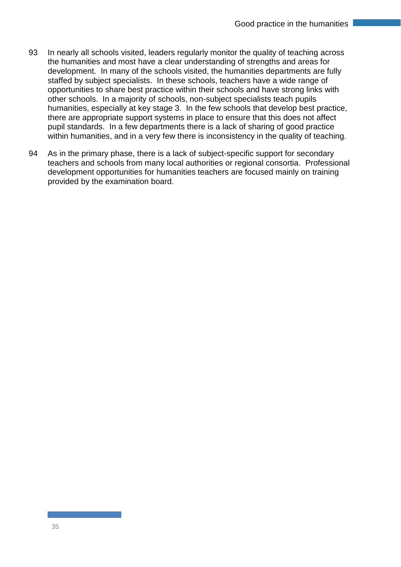- 93 In nearly all schools visited, leaders regularly monitor the quality of teaching across the humanities and most have a clear understanding of strengths and areas for development. In many of the schools visited, the humanities departments are fully staffed by subject specialists. In these schools, teachers have a wide range of opportunities to share best practice within their schools and have strong links with other schools. In a majority of schools, non-subject specialists teach pupils humanities, especially at key stage 3. In the few schools that develop best practice, there are appropriate support systems in place to ensure that this does not affect pupil standards. In a few departments there is a lack of sharing of good practice within humanities, and in a very few there is inconsistency in the quality of teaching.
- 94 As in the primary phase, there is a lack of subject-specific support for secondary teachers and schools from many local authorities or regional consortia. Professional development opportunities for humanities teachers are focused mainly on training provided by the examination board.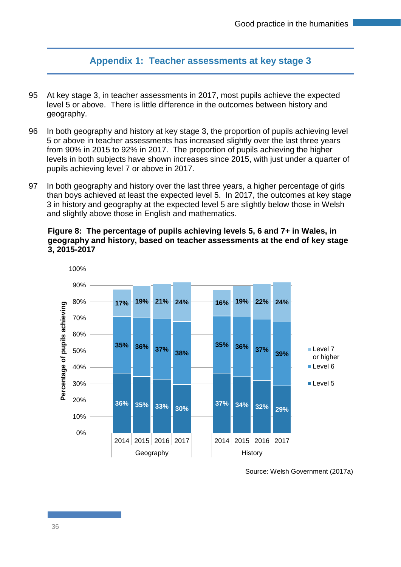## **Appendix 1: Teacher assessments at key stage 3**

- 95 At key stage 3, in teacher assessments in 2017, most pupils achieve the expected level 5 or above. There is little difference in the outcomes between history and geography.
- 96 In both geography and history at key stage 3, the proportion of pupils achieving level 5 or above in teacher assessments has increased slightly over the last three years from 90% in 2015 to 92% in 2017. The proportion of pupils achieving the higher levels in both subjects have shown increases since 2015, with just under a quarter of pupils achieving level 7 or above in 2017.
- 97 In both geography and history over the last three years, a higher percentage of girls than boys achieved at least the expected level 5. In 2017, the outcomes at key stage 3 in history and geography at the expected level 5 are slightly below those in Welsh and slightly above those in English and mathematics.

#### **Figure 8: The percentage of pupils achieving levels 5, 6 and 7+ in Wales, in geography and history, based on teacher assessments at the end of key stage 3, 2015-2017**



Source: Welsh Government (2017a)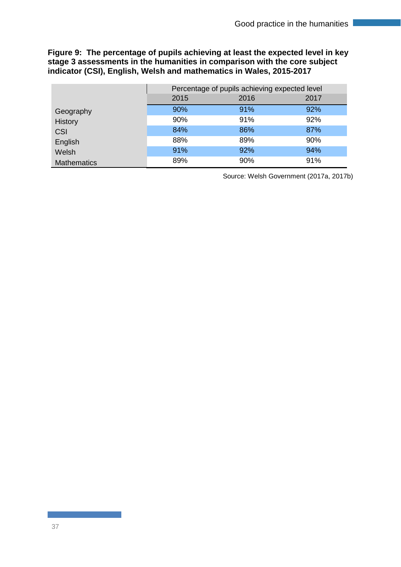#### **Figure 9: The percentage of pupils achieving at least the expected level in key stage 3 assessments in the humanities in comparison with the core subject indicator (CSI), English, Welsh and mathematics in Wales, 2015-2017**

|                    | Percentage of pupils achieving expected level |      |      |
|--------------------|-----------------------------------------------|------|------|
|                    | 2015                                          | 2016 | 2017 |
| Geography          | 90%                                           | 91%  | 92%  |
| History            | 90%                                           | 91%  | 92%  |
| CSI                | 84%                                           | 86%  | 87%  |
| English            | 88%                                           | 89%  | 90%  |
| Welsh              | 91%                                           | 92%  | 94%  |
| <b>Mathematics</b> | 89%                                           | 90%  | 91%  |

Source: Welsh Government (2017a, 2017b)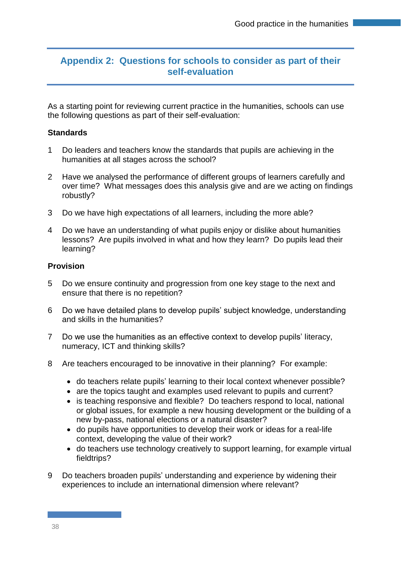## **Appendix 2: Questions for schools to consider as part of their self-evaluation**

As a starting point for reviewing current practice in the humanities, schools can use the following questions as part of their self-evaluation:

#### **Standards**

- 1 Do leaders and teachers know the standards that pupils are achieving in the humanities at all stages across the school?
- 2 Have we analysed the performance of different groups of learners carefully and over time? What messages does this analysis give and are we acting on findings robustly?
- 3 Do we have high expectations of all learners, including the more able?
- 4 Do we have an understanding of what pupils enjoy or dislike about humanities lessons? Are pupils involved in what and how they learn? Do pupils lead their learning?

#### **Provision**

- 5 Do we ensure continuity and progression from one key stage to the next and ensure that there is no repetition?
- 6 Do we have detailed plans to develop pupils' subject knowledge, understanding and skills in the humanities?
- 7 Do we use the humanities as an effective context to develop pupils' literacy, numeracy, ICT and thinking skills?
- 8 Are teachers encouraged to be innovative in their planning? For example:
	- do teachers relate pupils' learning to their local context whenever possible?
	- are the topics taught and examples used relevant to pupils and current?
	- is teaching responsive and flexible? Do teachers respond to local, national or global issues, for example a new housing development or the building of a new by-pass, national elections or a natural disaster?
	- do pupils have opportunities to develop their work or ideas for a real-life context, developing the value of their work?
	- do teachers use technology creatively to support learning, for example virtual fieldtrips?
- 9 Do teachers broaden pupils' understanding and experience by widening their experiences to include an international dimension where relevant?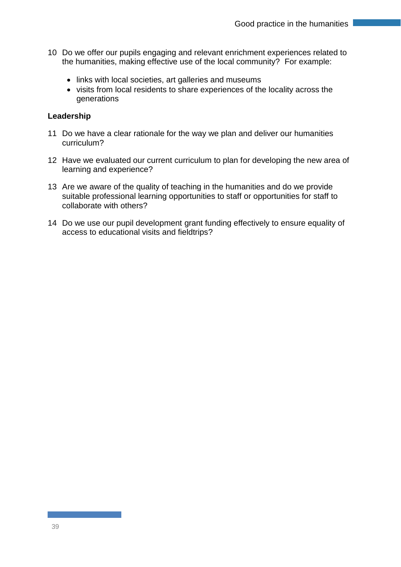- 10 Do we offer our pupils engaging and relevant enrichment experiences related to the humanities, making effective use of the local community? For example:
	- links with local societies, art galleries and museums
	- visits from local residents to share experiences of the locality across the generations

#### **Leadership**

- 11 Do we have a clear rationale for the way we plan and deliver our humanities curriculum?
- 12 Have we evaluated our current curriculum to plan for developing the new area of learning and experience?
- 13 Are we aware of the quality of teaching in the humanities and do we provide suitable professional learning opportunities to staff or opportunities for staff to collaborate with others?
- 14 Do we use our pupil development grant funding effectively to ensure equality of access to educational visits and fieldtrips?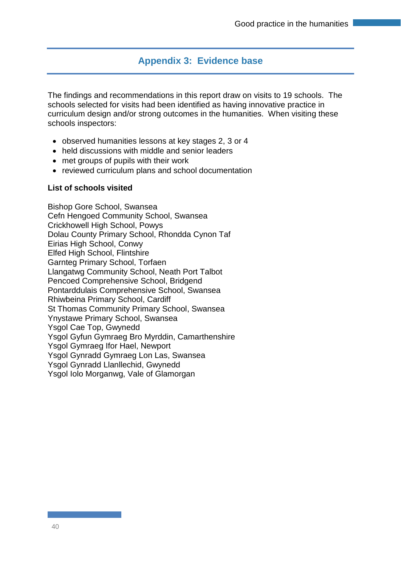## **Appendix 3: Evidence base**

The findings and recommendations in this report draw on visits to 19 schools. The schools selected for visits had been identified as having innovative practice in curriculum design and/or strong outcomes in the humanities. When visiting these schools inspectors:

- observed humanities lessons at key stages 2, 3 or 4
- held discussions with middle and senior leaders
- met groups of pupils with their work
- reviewed curriculum plans and school documentation

#### **List of schools visited**

Bishop Gore School, Swansea Cefn Hengoed Community School, Swansea Crickhowell High School, Powys Dolau County Primary School, Rhondda Cynon Taf Eirias High School, Conwy Elfed High School, Flintshire Garnteg Primary School, Torfaen Llangatwg Community School, Neath Port Talbot Pencoed Comprehensive School, Bridgend Pontarddulais Comprehensive School, Swansea Rhiwbeina Primary School, Cardiff St Thomas Community Primary School, Swansea Ynystawe Primary School, Swansea Ysgol Cae Top, Gwynedd Ysgol Gyfun Gymraeg Bro Myrddin, Camarthenshire Ysgol Gymraeg Ifor Hael, Newport Ysgol Gynradd Gymraeg Lon Las, Swansea Ysgol Gynradd Llanllechid, Gwynedd Ysgol Iolo Morganwg, Vale of Glamorgan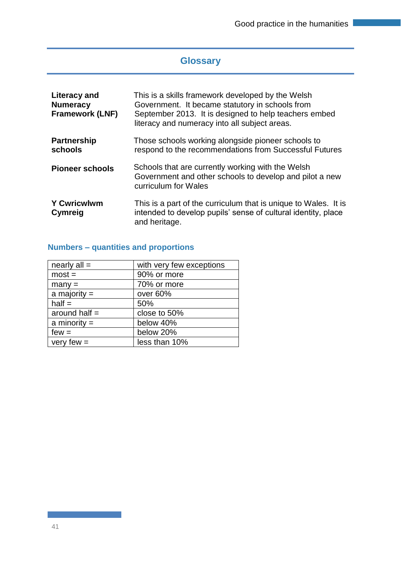## **Glossary**

| Literacy and<br><b>Numeracy</b><br><b>Framework (LNF)</b> | This is a skills framework developed by the Welsh<br>Government. It became statutory in schools from<br>September 2013. It is designed to help teachers embed<br>literacy and numeracy into all subject areas. |
|-----------------------------------------------------------|----------------------------------------------------------------------------------------------------------------------------------------------------------------------------------------------------------------|
| <b>Partnership</b><br>schools                             | Those schools working alongside pioneer schools to<br>respond to the recommendations from Successful Futures                                                                                                   |
| <b>Pioneer schools</b>                                    | Schools that are currently working with the Welsh<br>Government and other schools to develop and pilot a new<br>curriculum for Wales                                                                           |
| <b>Y Cwricwlwm</b><br>Cymreig                             | This is a part of the curriculum that is unique to Wales. It is<br>intended to develop pupils' sense of cultural identity, place<br>and heritage.                                                              |

## **Numbers – quantities and proportions**

| nearly $all =$  | with very few exceptions |
|-----------------|--------------------------|
| $most =$        | 90% or more              |
| $many =$        | 70% or more              |
| a majority $=$  | over 60%                 |
| $half =$        | 50%                      |
| around half $=$ | close to 50%             |
| a minority $=$  | below 40%                |
| $few =$         | below 20%                |
| very few $=$    | less than 10%            |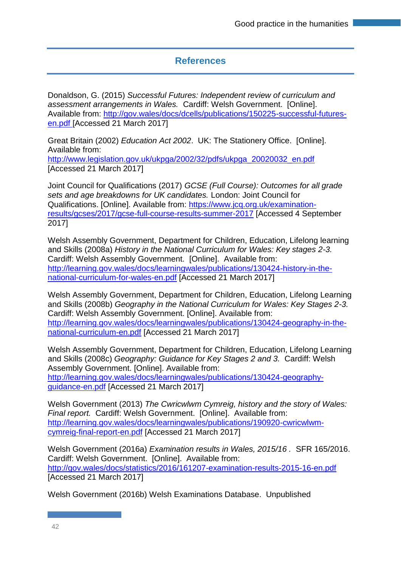## **References**

Donaldson, G. (2015) *Successful Futures: Independent review of curriculum and assessment arrangements in Wales.* Cardiff: Welsh Government. [Online]. Available from: [http://gov.wales/docs/dcells/publications/150225-successful-futures](http://gov.wales/docs/dcells/publications/150225-successful-futures-en.pdf)[en.pdf](http://gov.wales/docs/dcells/publications/150225-successful-futures-en.pdf) [Accessed 21 March 2017]

Great Britain (2002) *Education Act 2002*. UK: The Stationery Office. [Online]. Available from:

[http://www.legislation.gov.uk/ukpga/2002/32/pdfs/ukpga\\_20020032\\_en.pdf](http://www.legislation.gov.uk/ukpga/2002/32/pdfs/ukpga_20020032_en.pdf) [Accessed 21 March 2017]

Joint Council for Qualifications (2017) *GCSE (Full Course): Outcomes for all grade sets and age breakdowns for UK candidates.* London: Joint Council for Qualifications. [Online]. Available from: [https://www.jcq.org.uk/examination](https://www.jcq.org.uk/examination-results/gcses/2017/gcse-full-course-results-summer-2017)[results/gcses/2017/gcse-full-course-results-summer-2017](https://www.jcq.org.uk/examination-results/gcses/2017/gcse-full-course-results-summer-2017) [Accessed 4 September 2017]

Welsh Assembly Government, Department for Children, Education, Lifelong learning and Skills (2008a) *History in the National Curriculum for Wales: Key stages 2-3.* Cardiff: Welsh Assembly Government. [Online]. Available from: [http://learning.gov.wales/docs/learningwales/publications/130424-history-in-the](http://learning.gov.wales/docs/learningwales/publications/130424-history-in-the-national-curriculum-for-wales-en.pdf)[national-curriculum-for-wales-en.pdf](http://learning.gov.wales/docs/learningwales/publications/130424-history-in-the-national-curriculum-for-wales-en.pdf) [Accessed 21 March 2017]

Welsh Assembly Government, Department for Children, Education, Lifelong Learning and Skills (2008b) *Geography in the National Curriculum for Wales: Key Stages 2-3.* Cardiff: Welsh Assembly Government. [Online]. Available from: [http://learning.gov.wales/docs/learningwales/publications/130424-geography-in-the](http://learning.gov.wales/docs/learningwales/publications/130424-geography-in-the-national-curriculum-en.pdf)[national-curriculum-en.pdf](http://learning.gov.wales/docs/learningwales/publications/130424-geography-in-the-national-curriculum-en.pdf) [Accessed 21 March 2017]

Welsh Assembly Government, Department for Children, Education, Lifelong Learning and Skills (2008c) *Geography: Guidance for Key Stages 2 and 3.* Cardiff: Welsh Assembly Government. [Online]. Available from: [http://learning.gov.wales/docs/learningwales/publications/130424-geography](http://learning.gov.wales/docs/learningwales/publications/130424-geography-guidance-en.pdf)[guidance-en.pdf](http://learning.gov.wales/docs/learningwales/publications/130424-geography-guidance-en.pdf) [Accessed 21 March 2017]

Welsh Government (2013) *The Cwricwlwm Cymreig, history and the story of Wales: Final report.* Cardiff: Welsh Government. [Online]. Available from: [http://learning.gov.wales/docs/learningwales/publications/190920-cwricwlwm](http://learning.gov.wales/docs/learningwales/publications/190920-cwricwlwm-cymreig-final-report-en.pdf)[cymreig-final-report-en.pdf](http://learning.gov.wales/docs/learningwales/publications/190920-cwricwlwm-cymreig-final-report-en.pdf) [Accessed 21 March 2017]

Welsh Government (2016a) *Examination results in Wales, 2015/16 .* SFR 165/2016. Cardiff: Welsh Government. [Online]. Available from: <http://gov.wales/docs/statistics/2016/161207-examination-results-2015-16-en.pdf> [Accessed 21 March 2017]

Welsh Government (2016b) Welsh Examinations Database. Unpublished